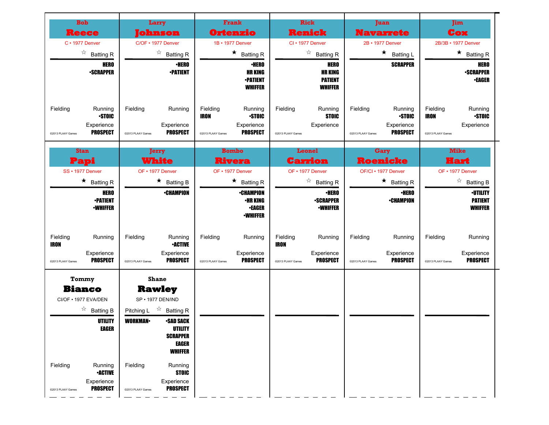| <b>Bob</b>                                                                                  | Larry                                                                                                                                                                                                           | Frank                                                                                                    | <b>Rick</b>                                                                              | Juan                                                                                      | <b>Jim</b>                                                                            |
|---------------------------------------------------------------------------------------------|-----------------------------------------------------------------------------------------------------------------------------------------------------------------------------------------------------------------|----------------------------------------------------------------------------------------------------------|------------------------------------------------------------------------------------------|-------------------------------------------------------------------------------------------|---------------------------------------------------------------------------------------|
| Reece                                                                                       | iohnson                                                                                                                                                                                                         | Ortenzio                                                                                                 | <b>Renick</b>                                                                            | <b>Navarrete</b>                                                                          | Cox                                                                                   |
| $C \cdot 1977$ Denver                                                                       | C/OF • 1977 Denver                                                                                                                                                                                              | 1B • 1977 Denver                                                                                         | CI · 1977 Denver                                                                         | 2B • 1977 Denver                                                                          | 2B/3B • 1977 Denver                                                                   |
| ☆<br><b>Batting R</b>                                                                       | ☆<br><b>Batting R</b>                                                                                                                                                                                           | $\star$<br><b>Batting R</b>                                                                              | ☆<br><b>Batting R</b>                                                                    | $\star$<br><b>Batting L</b>                                                               | $\star$<br><b>Batting R</b>                                                           |
| <b>HERO</b><br><b>-SCRAPPER</b>                                                             | <b>•HERO</b><br><b>-PATIENT</b>                                                                                                                                                                                 | <b>•HERO</b><br><b>HR KING</b><br><b>-PATIENT</b><br>WHIFFER                                             | <b>HERO</b><br><b>HR KING</b><br><b>PATIENT</b><br><b>WHIFFER</b>                        | <b>SCRAPPER</b>                                                                           | <b>HERO</b><br><b>-SCRAPPER</b><br><b>•EAGER</b>                                      |
| Fielding<br>Running<br><b>STOIC</b><br>Experience<br><b>PROSPECT</b><br>@2013 PLAAY Games   | Fielding<br>Running<br>Experience<br><b>PROSPECT</b><br>@2013 PLAAY Games                                                                                                                                       | Fielding<br>Running<br><b>STOIC</b><br><b>IRON</b><br>Experience<br><b>PROSPECT</b><br>@2013 PLAAY Games | Fielding<br>Running<br><b>STOIC</b><br>Experience<br>@2013 PLAAY Games                   | Fielding<br>Running<br><b>STOIC</b><br>Experience<br><b>PROSPECT</b><br>@2013 PLAAY Games | Fielding<br>Running<br><b>STOIC</b><br><b>IRON</b><br>Experience<br>@2013 PLAAY Games |
| <b>Stan</b>                                                                                 | <b>Jerry</b>                                                                                                                                                                                                    | <b>Bombo</b>                                                                                             | Leonel                                                                                   | Gary                                                                                      | <b>Mike</b>                                                                           |
| Papi                                                                                        | <b>White</b>                                                                                                                                                                                                    | <b>Rivera</b>                                                                                            | Carrion                                                                                  | <b>Roenicke</b>                                                                           | Hart                                                                                  |
| SS · 1977 Denver                                                                            | OF • 1977 Denver                                                                                                                                                                                                | OF • 1977 Denver                                                                                         | OF • 1977 Denver                                                                         | OF/CI • 1977 Denver                                                                       | OF • 1977 Denver                                                                      |
| $\star$<br><b>Batting R</b>                                                                 | $\star$<br><b>Batting B</b>                                                                                                                                                                                     | $\star$<br><b>Batting R</b>                                                                              | ☆<br><b>Batting R</b>                                                                    | $\star$ Batting R                                                                         | ☆<br><b>Batting B</b>                                                                 |
| <b>HERO</b><br><b>-PATIENT</b><br><b>-WHIFFER</b>                                           | <b>-CHAMPION</b>                                                                                                                                                                                                | <b>•CHAMPION</b><br><b>•HR KING</b><br><b>•EAGER</b><br><b>-WHIFFER</b>                                  | <b>·HERO</b><br><b>-SCRAPPER</b><br><b>-WHIFFER</b>                                      | <b>·HERO</b><br><b>•CHAMPION</b>                                                          | <b>-UTILITY</b><br><b>PATIENT</b><br><b>WHIFFER</b>                                   |
| Fielding<br>Running<br><b>IRON</b><br>Experience<br><b>PROSPECT</b><br>@2013 PLAAY Games    | Fielding<br>Running<br><b>•ACTIVE</b><br>Experience<br><b>PROSPECT</b><br>@2013 PLAAY Games                                                                                                                     | Fielding<br>Running<br>Experience<br><b>PROSPECT</b><br>@2013 PLAAY Games                                | Fielding<br>Running<br><b>IRON</b><br>Experience<br><b>PROSPECT</b><br>@2013 PLAAY Games | Fielding<br>Running<br>Experience<br><b>PROSPECT</b><br>@2013 PLAAY Games                 | Fielding<br>Running<br>Experience<br><b>PROSPECT</b><br>@2013 PLAAY Games             |
| Tommy<br><b>Bianco</b><br>CI/OF . 1977 EVA/DEN<br>☆<br><b>Batting B</b><br>UTILITY<br>EAGER | <b>Shane</b><br><b>Rawley</b><br>SP · 1977 DEN/IND<br>$\overrightarrow{r}$ Batting R<br>Pitching L<br><b>WORKMAN-</b><br><b>SAD SACK</b><br><b>UTILITY</b><br><b>SCRAPPER</b><br><b>EAGER</b><br><b>WHIFFER</b> |                                                                                                          |                                                                                          |                                                                                           |                                                                                       |
| Fielding<br>Running<br><b>-ACTIVE</b><br>Experience<br><b>PROSPECT</b><br>@2013 PLAAY Games | Fielding<br>Running<br><b>STOIC</b><br>Experience<br><b>PROSPECT</b><br>@2013 PLAAY Games                                                                                                                       |                                                                                                          |                                                                                          |                                                                                           |                                                                                       |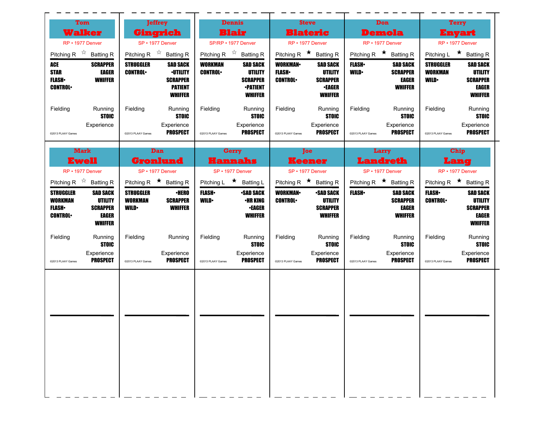| Tom                                                                                                                                                     | <b>Jeffrey</b>                                                                                                                                                               | <b>Dennis</b>                                                                                                                                                              | <b>Steve</b>                                                                                                                                                                   | <b>Don</b>                                                                                                                   | Terry                                                                                                                                                                       |
|---------------------------------------------------------------------------------------------------------------------------------------------------------|------------------------------------------------------------------------------------------------------------------------------------------------------------------------------|----------------------------------------------------------------------------------------------------------------------------------------------------------------------------|--------------------------------------------------------------------------------------------------------------------------------------------------------------------------------|------------------------------------------------------------------------------------------------------------------------------|-----------------------------------------------------------------------------------------------------------------------------------------------------------------------------|
| <b>Walker</b>                                                                                                                                           | Gingrich                                                                                                                                                                     | <b>Blair</b>                                                                                                                                                               | <b>Blateric</b>                                                                                                                                                                | <b>Demola</b>                                                                                                                | Enyart                                                                                                                                                                      |
| RP • 1977 Denver                                                                                                                                        | SP · 1977 Denver                                                                                                                                                             | SP/RP • 1977 Denver                                                                                                                                                        | RP • 1977 Denver                                                                                                                                                               | RP · 1977 Denver                                                                                                             | RP • 1977 Denver                                                                                                                                                            |
| Pitching R $\overrightarrow{x}$ Batting R<br>ACE<br><b>SCRAPPER</b><br><b>STAR</b><br>EAGER<br><b>FLASH</b><br><b>WHIFFER</b><br><b>CONTROL</b>         | Pitching R $\overrightarrow{x}$ Batting R<br><b>STRUGGLER</b><br><b>SAD SACK</b><br><b>CONTROL</b><br><b>·UTILITY</b><br><b>SCRAPPER</b><br><b>PATIENT</b><br><b>WHIFFER</b> | Pitching R $\overrightarrow{x}$ Batting R<br><b>WORKMAN</b><br><b>SAD SACK</b><br><b>CONTROL</b><br><b>UTILITY</b><br><b>SCRAPPER</b><br><b>•PATIENT</b><br><b>WHIFFER</b> | Pitching R $\star$ Batting R<br><b>WORKMAN-</b><br><b>SAD SACK</b><br><b>UTILITY</b><br><b>FLASH</b> •<br><b>CONTROL</b><br><b>SCRAPPER</b><br><b>•EAGER</b><br><b>WHIFFER</b> | Pitching R $\star$ Batting R<br><b>FLASH</b><br><b>SAD SACK</b><br><b>SCRAPPER</b><br><b>WILD</b><br>EAGER<br><b>WHIFFER</b> | Pitching L $\star$ Batting R<br><b>STRUGGLER</b><br><b>SAD SACK</b><br><b>WORKMAN</b><br><b>UTILITY</b><br><b>WILD</b><br><b>SCRAPPER</b><br><b>EAGER</b><br><b>WHIFFER</b> |
| Fielding<br>Running<br>STOIC<br>Experience<br>@2013 PLAAY Games                                                                                         | Fielding<br>Running<br><b>STOIC</b><br>Experience<br><b>PROSPECT</b><br>@2013 PLAAY Games                                                                                    | Fielding<br>Running<br><b>STOIC</b><br>Experience<br><b>PROSPECT</b><br>@2013 PLAAY Games                                                                                  | Fielding<br>Running<br><b>STOIC</b><br>Experience<br><b>PROSPECT</b><br>@2013 PLAAY Games                                                                                      | Fielding<br>Running<br><b>STOIC</b><br>Experience<br><b>PROSPECT</b><br>@2013 PLAAY Games                                    | Fielding<br>Running<br><b>STOIC</b><br>Experience<br><b>PROSPECT</b><br>@2013 PLAAY Games                                                                                   |
| <b>Mark</b>                                                                                                                                             | Dan                                                                                                                                                                          | Gerry                                                                                                                                                                      | <b>Toe</b>                                                                                                                                                                     | Larry                                                                                                                        | Chip                                                                                                                                                                        |
| <b>Ewell</b>                                                                                                                                            | <b>Gronlund</b>                                                                                                                                                              | <b>Hannahs</b>                                                                                                                                                             | <b>Keener</b>                                                                                                                                                                  | <b>Landreth</b>                                                                                                              | Lang                                                                                                                                                                        |
| RP · 1977 Denver                                                                                                                                        | SP · 1977 Denver                                                                                                                                                             | SP · 1977 Denver                                                                                                                                                           | SP · 1977 Denver                                                                                                                                                               | SP · 1977 Denver                                                                                                             | RP • 1977 Denver                                                                                                                                                            |
| Pitching R $\overrightarrow{x}$ Batting R                                                                                                               | Pitching R $\star$ Batting R                                                                                                                                                 | Pitching L ★ Batting L                                                                                                                                                     | Pitching R $\star$ Batting R                                                                                                                                                   | Pitching R $\star$ Batting R                                                                                                 | Pitching R $\star$ Batting R                                                                                                                                                |
| <b>STRUGGLER</b><br><b>SAD SACK</b><br><b>WORKMAN</b><br><b>UTILITY</b><br><b>FLASH</b><br><b>SCRAPPER</b><br><b>CONTROL</b><br>EAGER<br><b>WHIFFER</b> | <b>STRUGGLER</b><br><b>·HERO</b><br><b>WORKMAN</b><br><b>SCRAPPER</b><br><b>WILD</b><br><b>WHIFFER</b>                                                                       | <b>SAD SACK</b><br><b>FLASH</b><br><b>•HR KING</b><br><b>WILD</b><br><b>•EAGER</b><br><b>WHIFFER</b>                                                                       | <b>WORKMAN-</b><br><b>SAD SACK</b><br><b>CONTROL</b><br>UTILITY<br><b>SCRAPPER</b><br><b>WHIFFER</b>                                                                           | <b>FLASH</b><br><b>SAD SACK</b><br><b>SCRAPPER</b><br>EAGER<br><b>WHIFFER</b>                                                | <b>FLASH</b><br><b>SAD SACK</b><br><b>CONTROL</b><br>UTILITY<br><b>SCRAPPER</b><br>EAGER<br><b>WHIFFER</b>                                                                  |
| Fielding<br>Running<br><b>STOIC</b><br>Experience                                                                                                       | Fielding<br>Running<br>Experience                                                                                                                                            | Fielding<br>Running<br><b>STOIC</b><br>Experience                                                                                                                          | Fielding<br>Running<br><b>STOIC</b><br>Experience                                                                                                                              | Fielding<br>Running<br><b>STOIC</b><br>Experience                                                                            | Fielding<br>Running<br><b>STOIC</b><br>Experience                                                                                                                           |
| <b>PROSPECT</b><br>@2013 PLAAY Games                                                                                                                    | <b>PROSPECT</b><br>@2013 PLAAY Games                                                                                                                                         | <b>PROSPECT</b><br>@2013 PLAAY Games                                                                                                                                       | <b>PROSPECT</b><br>@2013 PLAAY Games                                                                                                                                           | <b>PROSPECT</b><br>@2013 PLAAY Games                                                                                         | <b>PROSPECT</b><br>@2013 PLAAY Games                                                                                                                                        |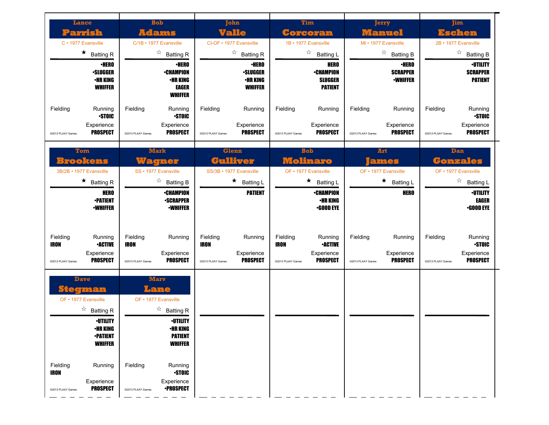| <b>Lance</b>                                        |                                                                                                                                                                  |                                              | <b>Bob</b>                                                                                                                                     |                                       | John                                                                 |                                              | <b>Tim</b>                                                          |                               | Jerry                                              |                               | <b>Jim</b>                                               |
|-----------------------------------------------------|------------------------------------------------------------------------------------------------------------------------------------------------------------------|----------------------------------------------|------------------------------------------------------------------------------------------------------------------------------------------------|---------------------------------------|----------------------------------------------------------------------|----------------------------------------------|---------------------------------------------------------------------|-------------------------------|----------------------------------------------------|-------------------------------|----------------------------------------------------------|
| <u>Parrish</u>                                      |                                                                                                                                                                  |                                              | <b>Adams</b>                                                                                                                                   |                                       | Valle                                                                |                                              | Corcoran                                                            |                               | Manuel                                             |                               | Eschen                                                   |
| C · 1977 Evansville                                 |                                                                                                                                                                  |                                              | C/1B · 1977 Evansville                                                                                                                         |                                       | CI-OF • 1977 Evansville                                              |                                              | 1B · 1977 Evansville                                                |                               | MI • 1977 Evansville                               |                               | 2B · 1977 Evansville                                     |
|                                                     | $\star$<br><b>Batting R</b>                                                                                                                                      |                                              | ☆<br><b>Batting R</b>                                                                                                                          |                                       | ☆<br><b>Batting R</b>                                                |                                              | ☆<br><b>Batting L</b>                                               |                               | ☆<br><b>Batting B</b>                              |                               | $\overrightarrow{a}$ Batting B                           |
|                                                     | <b>·HERO</b><br><b>·SLUGGER</b><br><b>•HR KING</b><br><b>WHIFFER</b>                                                                                             |                                              | <b>•HERO</b><br><b>•CHAMPION</b><br>•HR KING<br><b>EAGER</b><br><b>WHIFFER</b>                                                                 |                                       | <b>•HERO</b><br><b>·SLUGGER</b><br><b>•HR KING</b><br><b>WHIFFER</b> |                                              | <b>HERO</b><br><b>•CHAMPION</b><br><b>SLUGGER</b><br><b>PATIENT</b> |                               | <b>•HERO</b><br><b>SCRAPPER</b><br><b>-WHIFFER</b> |                               | <b>·UTILITY</b><br><b>SCRAPPER</b><br><b>PATIENT</b>     |
| Fielding                                            | Running<br><b>STOIC</b>                                                                                                                                          | Fielding                                     | Running<br><b>STOIC</b>                                                                                                                        | Fielding                              | Running                                                              | Fielding                                     | Running                                                             | Fielding                      | Running                                            | Fielding                      | Running<br><b>STOIC</b>                                  |
| @2013 PLAAY Games                                   | Experience<br><b>PROSPECT</b>                                                                                                                                    | @2013 PLAAY Games                            | Experience<br><b>PROSPECT</b>                                                                                                                  | @2013 PLAAY Games                     | Experience<br><b>PROSPECT</b>                                        | @2013 PLAAY Games                            | Experience<br><b>PROSPECT</b>                                       | @2013 PLAAY Games             | Experience<br><b>PROSPECT</b>                      | @2013 PLAAY Games             | Experience<br><b>PROSPECT</b>                            |
|                                                     | <b>Mark</b><br><b>Glenn</b><br><b>Tom</b><br><b>Brookens</b><br>Culliver<br>Wagner<br>3B/2B · 1977 Evansville<br>SS • 1977 Evansville<br>SS/3B · 1977 Evansville |                                              |                                                                                                                                                |                                       | <b>Bob</b><br>Molinaro                                               |                                              | <b>Art</b><br>ames                                                  | Dan<br><b>Gonzales</b>        |                                                    |                               |                                                          |
|                                                     |                                                                                                                                                                  |                                              |                                                                                                                                                |                                       |                                                                      |                                              | OF • 1977 Evansville                                                |                               | OF • 1977 Evansville                               |                               | OF • 1977 Evansville                                     |
|                                                     | ★<br><b>Batting R</b>                                                                                                                                            |                                              | ☆<br><b>Batting B</b>                                                                                                                          |                                       | $\star$<br>Batting L                                                 |                                              | $\star$<br><b>Batting L</b>                                         |                               | $\star$<br><b>Batting L</b>                        |                               | ☆<br><b>Batting L</b>                                    |
|                                                     | <b>HERO</b><br><b>-PATIENT</b><br><b>•WHIFFER</b>                                                                                                                |                                              | <b>•CHAMPION</b><br><b>-SCRAPPER</b><br><b>•WHIFFER</b>                                                                                        |                                       | <b>PATIENT</b>                                                       |                                              | <b>-CHAMPION</b><br><b>•HR KING</b><br><b>•GOOD EYE</b>             |                               | <b>HERO</b>                                        |                               | <b>-UTILITY</b><br><b>EAGER</b><br><b>•GOOD EYE</b>      |
| Fielding<br><b>IRON</b><br>@2013 PLAAY Games        | Running<br><b>•ACTIVE</b><br>Experience<br><b>PROSPECT</b>                                                                                                       | Fielding<br><b>IRON</b><br>@2013 PLAAY Games | Running<br>Experience<br><b>PROSPECT</b>                                                                                                       | Fielding<br>IRON<br>@2013 PLAAY Games | Running<br>Experience<br><b>PROSPECT</b>                             | Fielding<br><b>IRON</b><br>@2013 PLAAY Games | Running<br><b>•ACTIVE</b><br>Experience<br><b>PROSPECT</b>          | Fielding<br>@2013 PLAAY Games | Running<br>Experience<br><b>PROSPECT</b>           | Fielding<br>@2013 PLAAY Games | Running<br><b>STOIC</b><br>Experience<br><b>PROSPECT</b> |
| <b>Dave</b><br>Stegman<br>OF • 1977 Evansville<br>☆ | <b>Batting R</b><br>*U I ILI I Y<br><b>•HR KING</b><br><b>-PATIENT</b><br><b>WHIFFER</b>                                                                         |                                              | <b>Marv</b><br>Lane<br>OF • 1977 Evansville<br>☆<br><b>Batting R</b><br><b>•UTILITY</b><br><b>•HR KING</b><br><b>PATIENT</b><br><b>WHIFFER</b> |                                       |                                                                      |                                              |                                                                     |                               |                                                    |                               |                                                          |
| Fielding<br><b>IRON</b><br>@2013 PLAAY Games        | Running<br>Experience<br><b>PROSPECT</b>                                                                                                                         | Fielding<br>@2013 PLAAY Games                | Running<br><b>STOIC</b><br>Experience<br><b>-PROSPECT</b>                                                                                      |                                       |                                                                      |                                              |                                                                     |                               |                                                    |                               |                                                          |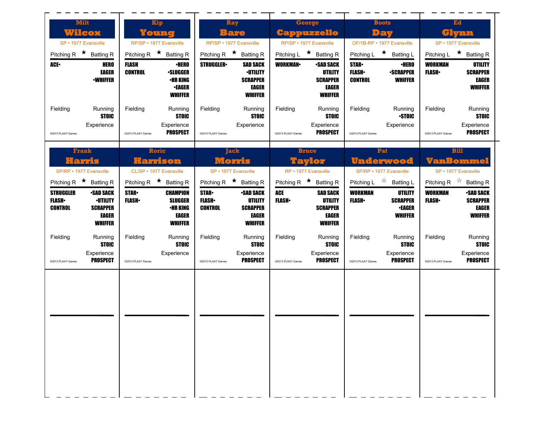| <b>Milt</b>                                                                        |                                                                                                                        | Kip                                                                                                                    | Ray                                                                           |                                                                                  |                                                            | George                                                                           |                                               | <b>Boots</b>                                                                                           |                                | Ed                                                                                                                 |
|------------------------------------------------------------------------------------|------------------------------------------------------------------------------------------------------------------------|------------------------------------------------------------------------------------------------------------------------|-------------------------------------------------------------------------------|----------------------------------------------------------------------------------|------------------------------------------------------------|----------------------------------------------------------------------------------|-----------------------------------------------|--------------------------------------------------------------------------------------------------------|--------------------------------|--------------------------------------------------------------------------------------------------------------------|
| Wilcox                                                                             |                                                                                                                        | Young                                                                                                                  | Bare                                                                          |                                                                                  |                                                            | <b>Cappuzzello</b>                                                               |                                               | Dau                                                                                                    |                                | Glynn                                                                                                              |
| SP • 1977 Evansville                                                               |                                                                                                                        | RP/SP · 1977 Evansville                                                                                                | RP/SP • 1977 Evansville                                                       |                                                                                  |                                                            | RP/SP • 1977 Evansville                                                          |                                               | OF/1B-RP • 1977 Evansville                                                                             |                                | SP • 1977 Evansville                                                                                               |
| Pitching R $\star$ Batting R                                                       |                                                                                                                        | Pitching R $\star$ Batting R                                                                                           | Pitching R $\star$ Batting R                                                  |                                                                                  | Pitching L $\star$ Batting R                               |                                                                                  |                                               | Pitching L ★ Batting L                                                                                 | Pitching L                     | ★ Batting R                                                                                                        |
| <b>ACE</b>                                                                         | <b>FLASH</b><br><b>HERO</b><br><b>CONTROL</b><br><b>EAGER</b><br><b>•WHIFFER</b>                                       | <b>·HERO</b><br><b>-SLUGGER</b><br><b>•HR KING</b><br><b>•EAGER</b><br><b>WHIFFER</b>                                  | <b>STRUGGLER-</b>                                                             | <b>SAD SACK</b><br><b>·UTILITY</b><br><b>SCRAPPER</b><br>EAGER<br><b>WHIFFER</b> | <b>WORKMAN</b>                                             | <b>-SAD SACK</b><br><b>UTILITY</b><br><b>SCRAPPER</b><br>EAGER<br><b>WHIFFER</b> | <b>STAR</b><br><b>FLASH</b><br><b>CONTROL</b> | <b>•HERO</b><br><b>-SCRAPPER</b><br><b>WHIFFER</b>                                                     | <b>WORKMAN</b><br><b>FLASH</b> | UTILITY<br><b>SCRAPPER</b><br><b>EAGER</b><br><b>WHIFFER</b>                                                       |
| Fielding<br>Experience<br>@2013 PLAAY Games                                        | Fielding<br>Running<br><b>STOIC</b><br>@2013 PLAAY Games                                                               | Running<br><b>STOIC</b><br>Experience<br><b>PROSPECT</b>                                                               | Fielding<br>@2013 PLAAY Games                                                 | Running<br><b>STOIC</b><br>Experience                                            | Fielding<br>@2013 PLAAY Games                              | Running<br><b>STOIC</b><br>Experience<br><b>PROSPECT</b>                         | Fielding<br>@2013 PLAAY Games                 | Running<br><b>STOIC</b><br>Experience                                                                  | Fielding<br>@2013 PLAAY Games  | Running<br><b>STOIC</b><br>Experience<br><b>PROSPECT</b>                                                           |
|                                                                                    |                                                                                                                        |                                                                                                                        |                                                                               |                                                                                  |                                                            |                                                                                  |                                               |                                                                                                        |                                |                                                                                                                    |
| Frank<br>Hamis                                                                     |                                                                                                                        | Roric<br>Harrison                                                                                                      | Morris                                                                        | <b>Jack</b>                                                                      |                                                            | <b>Bruce</b><br>$\bullet$                                                        |                                               | Pat<br><u>Underwood</u>                                                                                |                                | Bill<br>VanBommel                                                                                                  |
| SP/RP • 1977 Evansville                                                            |                                                                                                                        | CL/SP · 1977 Evansville                                                                                                | SP • 1977 Evansville                                                          |                                                                                  | RP • 1977 Evansville                                       |                                                                                  |                                               | SP/RP • 1977 Evansville                                                                                |                                | SP • 1977 Evansville                                                                                               |
| Pitching R $\star$ Batting R<br><b>STRUGGLER</b><br><b>FLASH</b><br><b>CONTROL</b> | <b>SAD SACK</b><br><b>STAR</b><br><b>·UTILITY</b><br><b>FLASH</b><br><b>SCRAPPER</b><br><b>EAGER</b><br><b>WHIFFER</b> | Pitching R $\star$ Batting R<br><b>CHAMPION</b><br><b>SLUGGER</b><br><b>•HR KING</b><br><b>EAGER</b><br><b>WHIFFER</b> | Pitching R $\star$ Batting R<br><b>STAR</b><br><b>FLASH</b><br><b>CONTROL</b> | <b>SAD SACK</b><br><b>UTILITY</b><br><b>SCRAPPER</b><br>EAGER<br><b>WHIFFER</b>  | Pitching R $\star$ Batting R<br><b>ACE</b><br><b>FLASH</b> | <b>SAD SACK</b><br>UTILITY<br><b>SCRAPPER</b><br><b>EAGER</b><br><b>WHIFFER</b>  | <b>WORKMAN</b><br><b>FLASH</b>                | Pitching L $\vec{r}$ Batting L<br><b>UTILITY</b><br><b>SCRAPPER</b><br><b>•EAGER</b><br><b>WHIFFER</b> | <b>WORKMAN</b><br><b>FLASH</b> | Pitching R $\overrightarrow{A}$ Batting R<br><b>•SAD SACK</b><br><b>SCRAPPER</b><br><b>EAGER</b><br><b>WHIFFER</b> |
| Fielding<br>Experience                                                             | Fielding<br>Running<br><b>STOIC</b>                                                                                    | Running<br><b>STOIC</b><br>Experience                                                                                  | Fielding                                                                      | Running<br><b>STOIC</b><br>Experience                                            | Fielding                                                   | Running<br><b>STOIC</b><br>Experience                                            | Fielding                                      | Running<br><b>STOIC</b><br>Experience                                                                  | Fielding                       | Running<br><b>STOIC</b><br>Experience                                                                              |
| @2013 PLAAY Games                                                                  | <b>PROSPECT</b><br>@2013 PLAAY Games                                                                                   |                                                                                                                        | @2013 PLAAY Games                                                             | <b>PROSPECT</b>                                                                  | @2013 PLAAY Games                                          | <b>PROSPECT</b>                                                                  | @2013 PLAAY Games                             | <b>PROSPECT</b>                                                                                        | @2013 PLAAY Games              | <b>PROSPECT</b>                                                                                                    |
|                                                                                    |                                                                                                                        |                                                                                                                        |                                                                               |                                                                                  |                                                            |                                                                                  |                                               |                                                                                                        |                                |                                                                                                                    |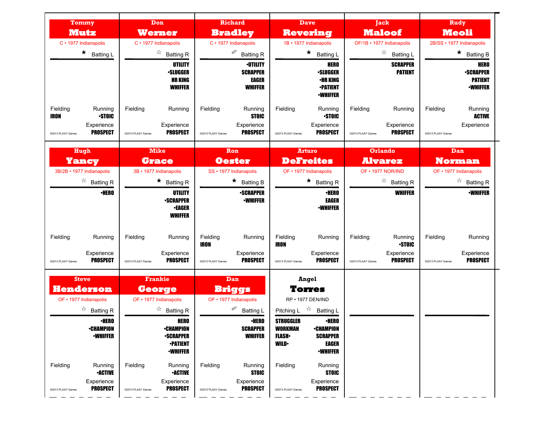| Tommy<br>Mutz                                                                                                                                       | Don<br>Werner                                                                                                                               | <b>Richard</b><br><b>Bradley</b>                                                                                             | <b>Dave</b><br><b>Revering</b>                                                                                                                                                                      | <b>Jack</b><br><b>Maloof</b>                                                              | <b>Rudy</b><br><b>Meoli</b>                                               |
|-----------------------------------------------------------------------------------------------------------------------------------------------------|---------------------------------------------------------------------------------------------------------------------------------------------|------------------------------------------------------------------------------------------------------------------------------|-----------------------------------------------------------------------------------------------------------------------------------------------------------------------------------------------------|-------------------------------------------------------------------------------------------|---------------------------------------------------------------------------|
| C · 1977 Indianapolis                                                                                                                               | C · 1977 Indianapolis                                                                                                                       | C · 1977 Indianapolis                                                                                                        | 1B · 1977 Indianapolis                                                                                                                                                                              | OF/1B · 1977 Indianapolis                                                                 | 2B/SS · 1977 Indianapolis                                                 |
| $\star$ Batting L                                                                                                                                   | $\overrightarrow{a}$ Batting R                                                                                                              | Ø<br><b>Batting R</b>                                                                                                        | $\star$ Batting L                                                                                                                                                                                   | $\frac{1}{2}$<br><b>Batting L</b>                                                         | $\star$ Batting B                                                         |
|                                                                                                                                                     | <b>UTILITY</b><br><b>·SLUGGER</b><br><b>HR KING</b><br><b>WHIFFER</b>                                                                       | <b>·UTILITY</b><br><b>SCRAPPER</b><br><b>EAGER</b><br><b>WHIFFER</b>                                                         | <b>HERO</b><br><b>•SLUGGER</b><br><b>•HR KING</b><br><b>-PATIENT</b><br><b>-WHIFFER</b>                                                                                                             | <b>SCRAPPER</b><br><b>PATIENT</b>                                                         | <b>HERO</b><br><b>-SCRAPPER</b><br><b>PATIENT</b><br><b>-WHIFFER</b>      |
| Fielding<br>Running<br><b>STOIC</b><br><b>IRON</b><br>Experience<br><b>PROSPECT</b><br>@2013 PLAAY Games                                            | Fielding<br>Running<br>Experience<br><b>PROSPECT</b><br>@2013 PLAAY Games                                                                   | Fielding<br>Running<br><b>STOIC</b><br>Experience<br><b>PROSPECT</b><br>@2013 PLAAY Games                                    | Fielding<br>Running<br><b>STOIC</b><br>Experience<br><b>PROSPECT</b><br>@2013 PLAAY Games                                                                                                           | Fielding<br>Running<br>Experience<br><b>PROSPECT</b><br>@2013 PLAAY Games                 | Fielding<br>Running<br><b>ACTIVE</b><br>Experience<br>@2013 PLAAY Games   |
| Hugh<br>Yancy                                                                                                                                       | <b>Mike</b><br><b>Grace</b>                                                                                                                 | Ron<br><b>Oester</b>                                                                                                         | <b>Arturo</b><br><b>DeFreites</b>                                                                                                                                                                   | <b>Orlando</b><br><b>Alvarez</b>                                                          | <b>Dan</b><br><b>Norman</b>                                               |
| 3B/2B · 1977 Indianapolis                                                                                                                           | 3B · 1977 Indianapolis                                                                                                                      | SS · 1977 Indianapolis                                                                                                       | OF • 1977 Indianapolis                                                                                                                                                                              | OF • 1977 NOR/IND                                                                         | OF • 1977 Indianapolis                                                    |
| $\overrightarrow{a}$ Batting R                                                                                                                      | $\star$ Batting R                                                                                                                           | $\star$<br><b>Batting B</b>                                                                                                  | $\star$ Batting R                                                                                                                                                                                   | ☆<br><b>Batting R</b>                                                                     | ☆<br><b>Batting R</b>                                                     |
| <b>•HERO</b>                                                                                                                                        | <b>UTILITY</b><br><b>-SCRAPPER</b><br><b>-EAGER</b><br><b>WHIFFER</b>                                                                       | <b>-SCRAPPER</b><br><b>-WHIFFER</b>                                                                                          | <b>•HERO</b><br><b>EAGER</b><br><b>-WHIFFER</b>                                                                                                                                                     | <b>WHIFFER</b>                                                                            | <b>-WHIFFER</b>                                                           |
| Fielding<br>Running<br>Experience<br><b>PROSPECT</b><br>@2013 PLAAY Games                                                                           | Fielding<br>Running<br>Experience<br><b>PROSPECT</b><br>@2013 PLAAY Games                                                                   | Fielding<br>Running<br>IRON<br>Experience<br><b>PROSPECT</b><br>@2013 PLAAY Games                                            | Fielding<br>Running<br><b>IRON</b><br>Experience<br><b>PROSPECT</b><br>@2013 PLAAY Games                                                                                                            | Fielding<br>Running<br><b>STOIC</b><br>Experience<br><b>PROSPECT</b><br>@2013 PLAAY Games | Fielding<br>Running<br>Experience<br><b>PROSPECT</b><br>@2013 PLAAY Games |
| <b>Steve</b><br><b>Henderson</b><br>OF • 1977 Indianapolis<br>$\overrightarrow{a}$ Batting R<br><b>•HERO</b><br><b>•CHAMPION</b><br><b>-WHIFFER</b> | <b>Frankie</b><br>George<br>OF • 1977 Indianapolis<br>$\overrightarrow{a}$ Batting R<br><b>HERO</b><br><b>•CHAMPION</b><br><b>-SCRAPPER</b> | Dan<br><b>Briggs</b><br>OF • 1977 Indianapolis<br>I<br><b>Batting L</b><br><b>-HERO</b><br><b>SCRAPPER</b><br><b>WHIFFER</b> | <b>Angel</b><br>Torres<br>RP · 1977 DEN/IND<br>$z^*$<br>Pitching L<br><b>Batting L</b><br><b>STRUGGLER</b><br><b>•HERO</b><br><b>WORKMAN</b><br><b>•CHAMPION</b><br><b>FLASH</b><br><b>SCRAPPER</b> |                                                                                           |                                                                           |
| Fielding<br>Running<br><b>-ACTIVE</b><br>Experience<br><b>PROSPECT</b><br>@2013 PLAAY Games                                                         | <b>-PATIENT</b><br><b>-WHIFFER</b><br>Fielding<br>Running<br><b>•ACTIVE</b><br>Experience<br><b>PROSPECT</b><br>@2013 PLAAY Games           | Fielding<br>Running<br><b>STOIC</b><br>Experience<br><b>PROSPECT</b><br>@2013 PLAAY Games                                    | <b>WILD</b><br>EAGER<br><b><i>•WHIFFER</i></b><br>Fielding<br>Running<br><b>STOIC</b><br>Experience<br><b>PROSPECT</b><br>@2013 PLAAY Games                                                         |                                                                                           |                                                                           |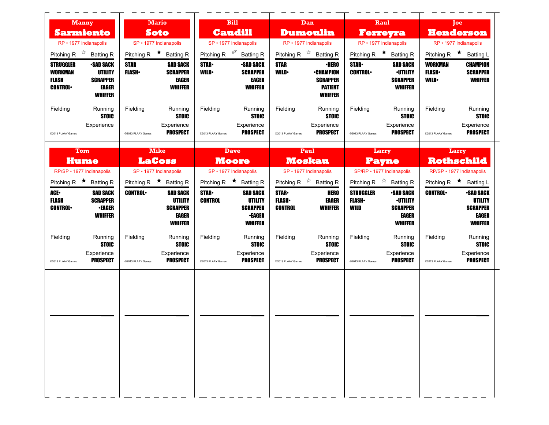| <b>Manny</b>                                                                                                                                      | <b>Mario</b>                                                                                          | <b>Bill</b>                                                                                                              | Dan                                                                                                            | Raul                                                                                                                                 | Toe                                                                                                       |
|---------------------------------------------------------------------------------------------------------------------------------------------------|-------------------------------------------------------------------------------------------------------|--------------------------------------------------------------------------------------------------------------------------|----------------------------------------------------------------------------------------------------------------|--------------------------------------------------------------------------------------------------------------------------------------|-----------------------------------------------------------------------------------------------------------|
| <b>Sarmiento</b>                                                                                                                                  | <b>Caudill</b><br><b>Soto</b>                                                                         |                                                                                                                          | <b>Dumoulin</b>                                                                                                | <b>Ferreyra</b>                                                                                                                      | <b>Henderson</b>                                                                                          |
| RP • 1977 Indianapolis                                                                                                                            | SP · 1977 Indianapolis                                                                                | SP · 1977 Indianapolis                                                                                                   | RP · 1977 Indianapolis                                                                                         | RP · 1977 Indianapolis                                                                                                               | RP · 1977 Indianapolis                                                                                    |
| Pitching R $\overrightarrow{x}$ Batting R                                                                                                         | Pitching R $\star$ Batting R                                                                          | Pitching R <sup>@</sup> Batting R                                                                                        | Pitching R $\overrightarrow{x}$ Batting R                                                                      | Pitching R $\star$ Batting R                                                                                                         | Pitching R $\star$ Batting L                                                                              |
| <b>STRUGGLER</b><br><b>-SAD SACK</b><br><b>WORKMAN</b><br>UTILITY<br><b>FLASH</b><br><b>SCRAPPER</b><br><b>CONTROL</b><br>EAGER<br><b>WHIFFER</b> | <b>STAR</b><br><b>SAD SACK</b><br><b>FLASH</b> •<br><b>SCRAPPER</b><br><b>EAGER</b><br><b>WHIFFER</b> | <b>STAR-</b><br><b>•SAD SACK</b><br><b>WILD</b><br><b>SCRAPPER</b><br><b>EAGER</b><br><b>WHIFFER</b>                     | <b>STAR</b><br>∙HERO<br><b>WILD</b><br><b>•CHAMPION</b><br><b>SCRAPPER</b><br><b>PATIENT</b><br><b>WHIFFER</b> | <b>STAR</b><br><b>SAD SACK</b><br><b>CONTROL</b><br><b>•UTILITY</b><br><b>SCRAPPER</b><br><b>WHIFFER</b>                             | <b>WORKMAN</b><br><b>CHAMPION</b><br><b>FLASH</b><br><b>SCRAPPER</b><br><b>WHIFFER</b><br><b>WILD</b>     |
| Fielding<br>Running<br><b>STOIC</b><br>Experience<br>@2013 PLAAY Games                                                                            | Fielding<br>Running<br><b>STOIC</b><br>Experience<br><b>PROSPECT</b><br>@2013 PLAAY Games             | Fielding<br>Running<br><b>STOIC</b><br>Experience<br><b>PROSPECT</b><br>@2013 PLAAY Games                                | Fielding<br>Running<br><b>STOIC</b><br>Experience<br><b>PROSPECT</b><br>@2013 PLAAY Games                      | Fielding<br>Running<br><b>STOIC</b><br>Experience<br><b>PROSPECT</b><br>@2013 PLAAY Games                                            | Fielding<br>Running<br><b>STOIC</b><br>Experience<br><b>PROSPECT</b><br>@2013 PLAAY Games                 |
| Tom<br>Hume<br>RP/SP · 1977 Indianapolis                                                                                                          | <b>Mike</b><br><b>LaCoss</b><br>SP · 1977 Indianapolis                                                | <b>Dave</b><br><b>Moore</b><br>SP · 1977 Indianapolis                                                                    | Paul<br><b>Moskau</b><br>SP · 1977 Indianapolis                                                                | Larry<br>Payne<br>SP/RP · 1977 Indianapolis                                                                                          | Larry<br><b>Rothschild</b><br>RP/SP · 1977 Indianapolis                                                   |
| Pitching R $\star$ Batting R                                                                                                                      | Pitching R $\star$ Batting R                                                                          | Pitching R $\star$ Batting R                                                                                             | Pitching R $\overrightarrow{x}$ Batting R                                                                      | Pitching R $\overrightarrow{x}$ Batting R                                                                                            | Pitching R $\star$ Batting L                                                                              |
| ACE.<br><b>SAD SACK</b><br><b>FLASH</b><br><b>SCRAPPER</b><br><b>CONTROL</b><br><b>•EAGER</b><br><b>WHIFFER</b>                                   | <b>CONTROL</b><br><b>SAD SACK</b><br><b>UTILITY</b><br><b>SCRAPPER</b><br>EAGER<br><b>WHIFFER</b>     | <b>STAR</b><br><b>SAD SACK</b><br><b>UTILITY</b><br><b>CONTROL</b><br><b>SCRAPPER</b><br><b>•EAGER</b><br><b>WHIFFER</b> | <b>STAR</b><br><b>HERO</b><br><b>FLASH</b><br>EAGER<br><b>CONTROL</b><br><b>WHIFFER</b>                        | <b>STRUGGLER</b><br><b>•SAD SACK</b><br><b>·UTILITY</b><br><b>FLASH</b><br>WILD<br><b>SCRAPPER</b><br><b>EAGER</b><br><b>WHIFFER</b> | <b>CONTROL</b><br><b>•SAD SACK</b><br><b>UTILITY</b><br><b>SCRAPPER</b><br><b>EAGER</b><br><b>WHIFFER</b> |
| Fielding<br>Running<br><b>STOIC</b><br>Experience<br><b>PROSPECT</b><br>@2013 PLAAY Games                                                         | Fielding<br>Running<br><b>STOIC</b><br>Experience<br><b>PROSPECT</b><br>@2013 PLAAY Games             | Fielding<br>Running<br><b>STOIC</b><br>Experience<br><b>PROSPECT</b><br>@2013 PLAAY Games                                | Fielding<br>Running<br><b>STOIC</b><br>Experience<br><b>PROSPECT</b><br>@2013 PLAAY Games                      | Fielding<br>Running<br><b>STOIC</b><br>Experience<br><b>PROSPECT</b><br>@2013 PLAAY Games                                            | Fielding<br>Running<br><b>STOIC</b><br>Experience<br><b>PROSPECT</b><br>@2013 PLAAY Games                 |
|                                                                                                                                                   |                                                                                                       |                                                                                                                          |                                                                                                                |                                                                                                                                      |                                                                                                           |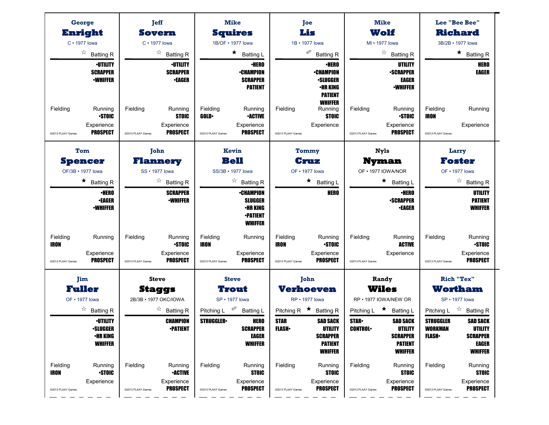| George                                                                                | <b>Jeff</b>                                                                                 | <b>Mike</b>                                                                               | Joe<br>Lis                                                                                                              | <b>Mike</b><br>Wolf                                                                                                | Lee "Bee Bee"<br><b>Richard</b>                                                                                                              |
|---------------------------------------------------------------------------------------|---------------------------------------------------------------------------------------------|-------------------------------------------------------------------------------------------|-------------------------------------------------------------------------------------------------------------------------|--------------------------------------------------------------------------------------------------------------------|----------------------------------------------------------------------------------------------------------------------------------------------|
| Enright<br>$C \cdot 1977$ lowa                                                        | Sovern<br>$C \cdot 1977$ lowa                                                               | <b>Squires</b><br>1B/OF • 1977 lowa                                                       | 1B · 1977 lowa                                                                                                          | MI • 1977 lowa                                                                                                     | 3B/2B · 1977 lowa                                                                                                                            |
| ☆<br><b>Batting R</b>                                                                 | ☆<br><b>Batting R</b>                                                                       | $\star$<br><b>Batting L</b>                                                               | ∅<br><b>Batting R</b>                                                                                                   | ☆<br><b>Batting R</b>                                                                                              | $\star$ Batting R                                                                                                                            |
| <b>·UTILITY</b><br><b>SCRAPPER</b><br><b>-WHIFFER</b>                                 | <b>·UTILITY</b><br><b>SCRAPPER</b><br><b>•EAGER</b>                                         | <b>·HERO</b><br><b>•CHAMPION</b><br><b>SCRAPPER</b><br><b>PATIENT</b>                     | <b>•HERO</b><br><b>•CHAMPION</b><br><b>-SLUGGER</b><br>•HR KING<br><b>PATIENT</b><br><b>WHIFFER</b>                     | UTILITY<br><b>-SCRAPPER</b><br><b>EAGER</b><br><b>-WHIFFER</b>                                                     | <b>HERO</b><br><b>EAGER</b>                                                                                                                  |
| Fielding<br>Running<br><b>STOIC</b><br>Experience                                     | Fielding<br>Running<br><b>STOIC</b>                                                         | Fielding<br>Running<br><b>-ACTIVE</b><br><b>GOLD</b><br>Experience                        | Fielding<br>Running<br><b>STOIC</b><br>Experience                                                                       | Fielding<br>Running<br><b>STOIC</b><br>Experience                                                                  | Fielding<br>Running<br><b>IRON</b><br>Experience                                                                                             |
| <b>PROSPECT</b><br>@2013 PLAAY Games                                                  | Experience<br><b>PROSPECT</b><br>@2013 PLAAY Games                                          | <b>PROSPECT</b><br>@2013 PLAAY Games                                                      | @2013 PLAAY Games                                                                                                       | <b>PROSPECT</b><br>@2013 PLAAY Games                                                                               | @2013 PLAAY Games                                                                                                                            |
| Tom                                                                                   | John                                                                                        | Kevin                                                                                     | Tommy                                                                                                                   | <b>Nyls</b>                                                                                                        | Larry                                                                                                                                        |
| <b>Spencer</b><br>OF/3B · 1977 lowa                                                   | <b>Flannery</b><br>SS • 1977 lowa                                                           | <b>Bell</b><br>SS/3B · 1977 lowa                                                          | Cruz<br>OF • 1977 lowa                                                                                                  | <b>Nyman</b><br>OF • 1977 IOWA/NOR                                                                                 | <b>Foster</b><br>OF • 1977 lowa                                                                                                              |
| $\star$ Batting R                                                                     | ☆<br><b>Batting R</b>                                                                       | ☆<br><b>Batting R</b>                                                                     | ★<br><b>Batting L</b>                                                                                                   | $\star$<br><b>Batting L</b>                                                                                        | $\overrightarrow{a}$ Batting R                                                                                                               |
| <b>·HERO</b><br><b>•EAGER</b><br><b>•WHIFFER</b>                                      | <b>SCRAPPER</b><br><b>-WHIFFER</b>                                                          | <b>•CHAMPION</b><br><b>SLUGGER</b><br><b><i>•HR KING</i></b>                              | <b>HERO</b>                                                                                                             | <b>·HERO</b><br><b>-SCRAPPER</b><br><b>•EAGER</b>                                                                  | <b>UTILITY</b><br><b>PATIENT</b><br><b>WHIFFER</b>                                                                                           |
| Fielding<br>Running                                                                   | Fielding<br>Running                                                                         | <b>•PATIENT</b><br><b>WHIFFER</b><br>Fielding<br>Running                                  | Fielding<br>Running                                                                                                     | Fielding<br>Running                                                                                                | Fielding<br>Running                                                                                                                          |
| <b>IRON</b><br>Experience<br><b>PROSPECT</b><br>@2013 PLAAY Games                     | <b>STOIC</b><br>Experience<br><b>PROSPECT</b><br>@2013 PLAAY Games                          | <b>IRON</b><br>Experience<br><b>PROSPECT</b><br>@2013 PLAAY Games                         | <b>STOIC</b><br><b>IRON</b><br>Experience<br><b>PROSPECT</b><br>@2013 PLAAY Games                                       | <b>ACTIVE</b><br>Experience<br>@2013 PLAAY Games                                                                   | <b>STOIC</b><br>Experience<br><b>PROSPECT</b><br>@2013 PLAAY Games                                                                           |
| <b>Jim</b><br><b>Fuller</b>                                                           | <b>Steve</b><br><b>Staggs</b>                                                               | <b>Steve</b><br>Trout                                                                     | John<br><b>Verhoeven</b>                                                                                                | Randy<br><b>Wiles</b>                                                                                              | <b>Rich "Tex"</b><br>Wortham                                                                                                                 |
| OF • 1977 lowa                                                                        | 2B/3B · 1977 OKC/IOWA                                                                       | SP • 1977 lowa                                                                            | RP • 1977 lowa                                                                                                          | RP · 1977 IOWA/NEW OR                                                                                              | SP • 1977 lowa                                                                                                                               |
| ☆<br><b>Batting R</b>                                                                 | ☆<br><b>Batting R</b>                                                                       | <b>Batting L</b><br>Pitching L                                                            | Pitching R $\star$<br><b>Batting R</b>                                                                                  | Pitching L $\star$<br><b>Batting L</b>                                                                             | ☆<br><b>Batting R</b><br>Pitching L                                                                                                          |
| <b><i>•UTILITY</i></b><br><b>•SLUGGER</b><br><b>•HR KING</b><br><b>WHIFFER</b>        | <b>CHAMPION</b><br><b>-PATIENT</b>                                                          | <b>STRUGGLER</b><br><b>HERO</b><br><b>SCRAPPER</b><br><b>EAGER</b><br><b>WHIFFER</b>      | <b>STAR</b><br><b>SAD SACK</b><br><b>FLASH</b><br><b>UTILITY</b><br><b>SCRAPPER</b><br><b>PATIENT</b><br><b>WHIFFER</b> | <b>STAR</b><br><b>SAD SACK</b><br><b>CONTROL</b><br>UTILITY<br><b>SCRAPPER</b><br><b>PATIENT</b><br><b>WHIFFER</b> | <b>STRUGGLER</b><br><b>SAD SACK</b><br><b>UTILITY</b><br><b>WORKMAN</b><br><b>SCRAPPER</b><br><b>FLASH</b><br><b>EAGER</b><br><b>WHIFFER</b> |
| Fielding<br>Running<br><b>STOIC</b><br><b>IRON</b><br>Experience<br>@2013 PLAAY Games | Fielding<br>Running<br><b>•ACTIVE</b><br>Experience<br><b>PROSPECT</b><br>@2013 PLAAY Games | Fielding<br>Running<br><b>STOIC</b><br>Experience<br><b>PROSPECT</b><br>@2013 PLAAY Games | Fielding<br>Running<br><b>STOIC</b><br>Experience<br><b>PROSPECT</b><br>@2013 PLAAY Games                               | Fielding<br>Running<br><b>STOIC</b><br>Experience<br><b>PROSPECT</b><br>@2013 PLAAY Games                          | Fielding<br>Running<br><b>STOIC</b><br>Experience<br><b>PROSPECT</b><br>@2013 PLAAY Games                                                    |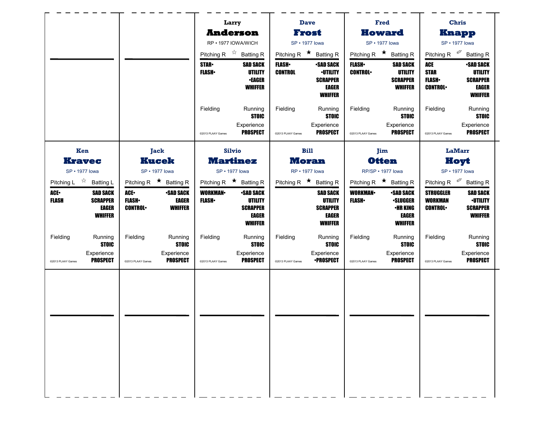|                                                      |                                                          |                                                                      |                                                                                                                                                                                                 |                                                                                   |                                                                                                                          |                                                                        |                                                                                                                                       | <b>Chris</b>                                                                                |
|------------------------------------------------------|----------------------------------------------------------|----------------------------------------------------------------------|-------------------------------------------------------------------------------------------------------------------------------------------------------------------------------------------------|-----------------------------------------------------------------------------------|--------------------------------------------------------------------------------------------------------------------------|------------------------------------------------------------------------|---------------------------------------------------------------------------------------------------------------------------------------|---------------------------------------------------------------------------------------------|
|                                                      |                                                          |                                                                      |                                                                                                                                                                                                 |                                                                                   |                                                                                                                          |                                                                        |                                                                                                                                       | <b>Knapp</b>                                                                                |
|                                                      |                                                          |                                                                      | SP • 1977 lowa                                                                                                                                                                                  |                                                                                   | SP • 1977 lowa                                                                                                           |                                                                        | SP • 1977 lowa                                                                                                                        |                                                                                             |
|                                                      |                                                          |                                                                      | Pitching R $\star$ Batting R                                                                                                                                                                    |                                                                                   |                                                                                                                          |                                                                        |                                                                                                                                       |                                                                                             |
|                                                      | <b>STAR</b><br><b>FLASH</b>                              | <b>SAD SACK</b><br><b>UTILITY</b><br><b>-EAGER</b><br><b>WHIFFER</b> | <b>CONTROL</b>                                                                                                                                                                                  | <b>•SAD SACK</b><br><b>-UTILITY</b><br><b>SCRAPPER</b><br>EAGER<br><b>WHIFFER</b> | <b>CONTROL</b>                                                                                                           | <b>SAD SACK</b><br><b>UTILITY</b><br><b>SCRAPPER</b><br><b>WHIFFER</b> | ACE<br><b>STAR</b><br><b>FLASH</b><br><b>CONTROL</b>                                                                                  | <b>-SAD SACK</b><br><b>UTILITY</b><br><b>SCRAPPER</b><br>EAGER<br><b>WHIFFER</b>            |
|                                                      | Fielding                                                 | Running<br><b>STOIC</b>                                              | Fielding                                                                                                                                                                                        | Running<br><b>STOIC</b>                                                           | Fielding                                                                                                                 | Running<br><b>STOIC</b>                                                | Fielding                                                                                                                              | Running<br><b>STOIC</b>                                                                     |
|                                                      | @2013 PLAAY Games                                        | Experience<br><b>PROSPECT</b>                                        | @2013 PLAAY Games                                                                                                                                                                               | Experience<br><b>PROSPECT</b>                                                     | @2013 PLAAY Games                                                                                                        | Experience<br><b>PROSPECT</b>                                          | @2013 PLAAY Games                                                                                                                     | Experience<br><b>PROSPECT</b>                                                               |
| Jack                                                 |                                                          |                                                                      |                                                                                                                                                                                                 |                                                                                   |                                                                                                                          |                                                                        |                                                                                                                                       | <b>LaMarr</b>                                                                               |
| <b>Kucek</b>                                         |                                                          |                                                                      |                                                                                                                                                                                                 |                                                                                   | <b>Otten</b>                                                                                                             |                                                                        | Hoyt                                                                                                                                  |                                                                                             |
| SP • 1977 lowa                                       |                                                          |                                                                      |                                                                                                                                                                                                 |                                                                                   |                                                                                                                          |                                                                        | SP · 1977 lowa                                                                                                                        |                                                                                             |
|                                                      |                                                          |                                                                      |                                                                                                                                                                                                 |                                                                                   |                                                                                                                          |                                                                        |                                                                                                                                       |                                                                                             |
| <b>FLASH</b> •<br>EAGER<br><b>CONTROL</b><br>WHIFFER | <b>FLASH</b> •                                           | UTILITY<br><b>SCRAPPER</b><br>EAGER<br><b>WHIFFER</b>                |                                                                                                                                                                                                 | <b>UTILITY</b><br><b>SCRAPPER</b><br>EAGER<br><b>WHIFFER</b>                      | <b>FLASH</b> •                                                                                                           | <b>•SLUGGER</b><br>•HR KING<br>EAGER<br><b>WHIFFER</b>                 | <b>WORKMAN</b><br><b>CONTROL</b>                                                                                                      | <b>SAD SACK</b><br><b>-UTILITY</b><br><b>SCRAPPER</b><br><b>WHIFFER</b>                     |
| Fielding<br>Running<br><b>STOIC</b>                  | Fielding                                                 | Running<br><b>STOIC</b>                                              | Fielding                                                                                                                                                                                        | Running<br><b>STOIC</b>                                                           | Fielding                                                                                                                 | Running<br><b>STOIC</b>                                                | Fielding                                                                                                                              | Running<br><b>STOIC</b>                                                                     |
| Experience<br><b>PROSPECT</b><br>@2013 PLAAY Games   | @2013 PLAAY Games                                        | Experience<br><b>PROSPECT</b>                                        | @2013 PLAAY Games                                                                                                                                                                               | Experience<br><b>•PROSPECT</b>                                                    | @2013 PLAAY Games                                                                                                        | Experience<br><b>PROSPECT</b>                                          | @2013 PLAAY Games                                                                                                                     | Experience<br><b>PROSPECT</b>                                                               |
|                                                      |                                                          |                                                                      |                                                                                                                                                                                                 |                                                                                   |                                                                                                                          |                                                                        |                                                                                                                                       |                                                                                             |
|                                                      | Pitching R $\star$ Batting R<br>ACE.<br><b>-SAD SACK</b> | <b>WORKMAN-</b>                                                      | Larry<br><b>Anderson</b><br>RP · 1977 IOWA/WICH<br>Pitching R $\overrightarrow{x}$ Batting R<br>Silvio<br><b>Martinez</b><br>SP • 1977 lowa<br>Pitching R $\star$ Batting R<br><b>-SAD SACK</b> | <b>FLASH</b> •                                                                    | <b>Dave</b><br>Frost<br><b>Bill</b><br><b>Moran</b><br>RP · 1977 lowa<br>Pitching R $\star$ Batting R<br><b>SAD SACK</b> | <b>FLASH</b><br><b>WORKMAN</b>                                         | Fred<br><b>Howard</b><br>Pitching R $\star$ Batting R<br>Jim<br>RP/SP · 1977 lowa<br>Pitching R $\star$ Batting R<br><b>•SAD SACK</b> | Pitching R $\mathscr{P}$ Batting R<br>Pitching R <sup>%</sup> Batting R<br><b>STRUGGLER</b> |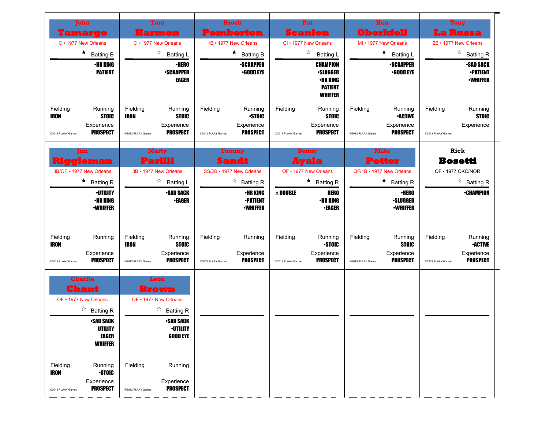| John                                                                                                      | <b>Tom</b>                                                                                               | <b>Brock</b>                                                                              | Pat                                                                                       | Ken                                                                                         | <b>Tony</b>                                                                                 |
|-----------------------------------------------------------------------------------------------------------|----------------------------------------------------------------------------------------------------------|-------------------------------------------------------------------------------------------|-------------------------------------------------------------------------------------------|---------------------------------------------------------------------------------------------|---------------------------------------------------------------------------------------------|
| l'amargo                                                                                                  | Harmon                                                                                                   | <b>Pemberton</b>                                                                          | <b>Scanlon</b>                                                                            | <b>Oberkfell</b>                                                                            | <b>La Russa</b>                                                                             |
| C · 1977 New Orleans                                                                                      | C · 1977 New Orleans                                                                                     | 1B · 1977 New Orleans                                                                     | CI · 1977 New Orleans                                                                     | MI • 1977 New Orleans                                                                       | 2B · 1977 New Orleans                                                                       |
| $\star$<br><b>Batting B</b>                                                                               | ☆<br><b>Batting L</b>                                                                                    | $\star$ Batting B                                                                         | $\frac{1}{2\sqrt{2}}$<br><b>Batting L</b>                                                 | $\star$<br><b>Batting L</b>                                                                 | $\frac{1}{2\sqrt{2}}$<br><b>Batting R</b>                                                   |
| <b>•HR KING</b><br><b>PATIENT</b>                                                                         | <b>•HERO</b><br><b>•SCRAPPER</b><br><b>EAGER</b>                                                         | <b>-SCRAPPER</b><br><b>•GOOD EYE</b>                                                      | <b>CHAMPION</b><br><b>•SLUGGER</b><br><b>•HR KING</b><br><b>PATIENT</b><br><b>WHIFFER</b> | <b>-SCRAPPER</b><br><b>-GOOD EYE</b>                                                        | <b>•SAD SACK</b><br><b>•PATIENT</b><br><b>-WHIFFER</b>                                      |
| Fielding<br>Running<br><b>IRON</b><br><b>STOIC</b><br>Experience<br><b>PROSPECT</b><br>@2013 PLAAY Games  | Fielding<br>Running<br><b>IRON</b><br><b>STOIC</b><br>Experience<br><b>PROSPECT</b><br>@2013 PLAAY Games | Fielding<br>Running<br><b>STOIC</b><br>Experience<br><b>PROSPECT</b><br>@2013 PLAAY Games | Fielding<br>Running<br><b>STOIC</b><br>Experience<br><b>PROSPECT</b><br>@2013 PLAAY Games | Fielding<br>Running<br><b>•ACTIVE</b><br>Experience<br><b>PROSPECT</b><br>@2013 PLAAY Games | Fielding<br>Running<br><b>STOIC</b><br>Experience<br>@2013 PLAAY Games                      |
| Jim.                                                                                                      | <b>Marty</b>                                                                                             | Tommy                                                                                     | <b>Benny</b>                                                                              | <b>Mike</b>                                                                                 | Rick                                                                                        |
| Riggleman                                                                                                 | Parilli                                                                                                  | <b>Sandt</b>                                                                              | <b>Ayala</b>                                                                              | <b>Potter</b>                                                                               | <b>Bosetti</b>                                                                              |
| 3B/OF • 1977 New Orleans                                                                                  | 3B · 1977 New Orleans                                                                                    | SS/2B · 1977 New Orleans                                                                  | OF • 1977 New Orleans                                                                     | OF/1B • 1977 New Orleans                                                                    | OF • 1977 OKC/NOR                                                                           |
| $\star$<br><b>Batting R</b>                                                                               | ☆<br><b>Batting L</b>                                                                                    | ☆<br><b>Batting R</b>                                                                     | $\star$ Batting R                                                                         | $\star$ Batting R                                                                           | $\overrightarrow{a}$ Batting R                                                              |
| <b>-UTILITY</b><br><b>•HR KING</b><br><b>-WHIFFER</b>                                                     | <b>-SAD SACK</b><br><b>•EAGER</b>                                                                        | <b>•HR KING</b><br><b>-PATIENT</b><br><b>•WHIFFER</b>                                     | $\Delta$ Double<br><b>HERO</b><br><b>•HR KING</b><br><b>•EAGER</b>                        | <b>·HERO</b><br><b>·SLUGGER</b><br><b><i>•WHIFFER</i></b>                                   | <b>•CHAMPION</b>                                                                            |
| Fielding<br>Running<br><b>IRON</b><br>Experience<br><b>PROSPECT</b><br>@2013 PLAAY Games                  | Fielding<br>Running<br><b>STOIC</b><br><b>IRON</b><br>Experience<br><b>PROSPECT</b><br>@2013 PLAAY Games | Fielding<br>Running<br>Experience<br><b>PROSPECT</b><br>@2013 PLAAY Games                 | Fielding<br>Running<br><b>STOIC</b><br>Experience<br><b>PROSPECT</b><br>@2013 PLAAY Games | Fielding<br>Running<br><b>STOIC</b><br>Experience<br><b>PROSPECT</b><br>@2013 PLAAY Games   | Fielding<br>Running<br><b>•ACTIVE</b><br>Experience<br><b>PROSPECT</b><br>@2013 PLAAY Games |
| <b>Charlie</b><br>Chant<br>OF • 1977 New Orleans<br>☆<br><b>Batting R</b>                                 | Leon<br><b>Brown</b><br>OF • 1977 New Orleans<br>$\overrightarrow{a}$ Batting R                          |                                                                                           |                                                                                           |                                                                                             |                                                                                             |
| <b>•SAN SACK</b><br><b>UTILITY</b><br><b>EAGER</b><br><b>WHIFFER</b>                                      | <b>SAD SACK</b><br><b>-UTILITY</b><br><b>GOOD EYE</b>                                                    |                                                                                           |                                                                                           |                                                                                             |                                                                                             |
| Fielding<br>Running<br><b>-STOIC</b><br><b>IRON</b><br>Experience<br><b>PROSPECT</b><br>@2013 PLAAY Games | Fielding<br>Running<br>Experience<br><b>PROSPECT</b><br>@2013 PLAAY Games                                |                                                                                           |                                                                                           |                                                                                             |                                                                                             |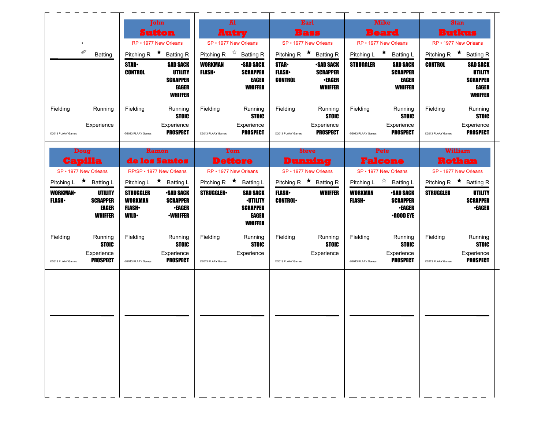| John<br><b>Sutton</b><br>RP • 1977 New Orleans<br>İ<br>Pitching R $\star$ Batting R<br><b>Batting</b><br><b>STAR</b><br><b>SAD SACK</b><br><b>CONTROL</b><br><b>UTILITY</b><br><b>SCRAPPER</b><br>EAGER<br>WHIFFER<br>Fielding<br>Running<br>Fielding<br>Running<br><b>STOIC</b><br>Experience<br>Experience<br><b>PROSPECT</b><br>@2013 PLAAY Games<br>@2013 PLAAY Games<br><b>Doug</b><br>Ramon<br>de los Santos<br>Capilla<br>SP • 1977 New Orleans<br>RP/SP · 1977 New Orleans<br>Pitching L ★ Batting L<br>Pitching L ★ Batting L | A1<br>Autry<br>SP • 1977 New Orleans<br>Pitching R $\overrightarrow{x}$ Batting R<br><b>WORKMAN</b><br><b>•SAD SACK</b><br><b>FLASH</b><br><b>SCRAPPER</b><br>EAGER<br><b>WHIFFER</b><br>Fielding<br>Running<br><b>STOIC</b><br>Experience<br><b>PROSPECT</b><br>@2013 PLAAY Games<br>Tom<br><b>Dettore</b><br>RP • 1977 New Orleans<br>Pitching R $\star$ Batting L | Earl<br><b>Bass</b><br>SP • 1977 New Orleans<br>Pitching R $\star$ Batting R<br><b>STAR</b><br><b>•SAD SACK</b><br><b>FLASH</b><br><b>SCRAPPER</b><br><b>CONTROL</b><br>∙EAGER<br><b>WHIFFER</b><br>Fielding<br>Running<br><b>STOIC</b><br>Experience<br><b>PROSPECT</b><br>@2013 PLAAY Games<br><b>Steve</b><br>Dunning<br>SP • 1977 New Orleans<br>Pitching R $\star$ Batting R | <b>Mike</b><br><b>Beard</b><br>RP • 1977 New Orleans<br>Pitching L $\star$ Batting L<br><b>STRUGGLER</b><br><b>SAD SACK</b><br><b>SCRAPPER</b><br>EAGER<br><b>WHIFFER</b><br>Fielding<br>Running<br><b>STOIC</b><br>Experience<br><b>PROSPECT</b><br>@2013 PLAAY Games<br>Pete<br><b>Falcone</b><br>SP • 1977 New Orleans | <b>Stan</b><br><b>Butkus</b><br>RP • 1977 New Orleans<br>Pitching R $\star$ Batting R<br><b>CONTROL</b><br><b>SAD SACK</b><br><b>UTILITY</b><br><b>SCRAPPER</b><br>EAGER<br><b>WHIFFER</b><br>Fielding<br>Running<br><b>STOIC</b><br>Experience<br><b>PROSPECT</b><br>@2013 PLAAY Games<br><b>William</b><br><b>Rothan</b><br>SP • 1977 New Orleans |
|----------------------------------------------------------------------------------------------------------------------------------------------------------------------------------------------------------------------------------------------------------------------------------------------------------------------------------------------------------------------------------------------------------------------------------------------------------------------------------------------------------------------------------------|----------------------------------------------------------------------------------------------------------------------------------------------------------------------------------------------------------------------------------------------------------------------------------------------------------------------------------------------------------------------|-----------------------------------------------------------------------------------------------------------------------------------------------------------------------------------------------------------------------------------------------------------------------------------------------------------------------------------------------------------------------------------|---------------------------------------------------------------------------------------------------------------------------------------------------------------------------------------------------------------------------------------------------------------------------------------------------------------------------|-----------------------------------------------------------------------------------------------------------------------------------------------------------------------------------------------------------------------------------------------------------------------------------------------------------------------------------------------------|
|                                                                                                                                                                                                                                                                                                                                                                                                                                                                                                                                        |                                                                                                                                                                                                                                                                                                                                                                      |                                                                                                                                                                                                                                                                                                                                                                                   |                                                                                                                                                                                                                                                                                                                           |                                                                                                                                                                                                                                                                                                                                                     |
|                                                                                                                                                                                                                                                                                                                                                                                                                                                                                                                                        |                                                                                                                                                                                                                                                                                                                                                                      |                                                                                                                                                                                                                                                                                                                                                                                   |                                                                                                                                                                                                                                                                                                                           |                                                                                                                                                                                                                                                                                                                                                     |
|                                                                                                                                                                                                                                                                                                                                                                                                                                                                                                                                        |                                                                                                                                                                                                                                                                                                                                                                      |                                                                                                                                                                                                                                                                                                                                                                                   |                                                                                                                                                                                                                                                                                                                           |                                                                                                                                                                                                                                                                                                                                                     |
|                                                                                                                                                                                                                                                                                                                                                                                                                                                                                                                                        |                                                                                                                                                                                                                                                                                                                                                                      |                                                                                                                                                                                                                                                                                                                                                                                   |                                                                                                                                                                                                                                                                                                                           |                                                                                                                                                                                                                                                                                                                                                     |
|                                                                                                                                                                                                                                                                                                                                                                                                                                                                                                                                        |                                                                                                                                                                                                                                                                                                                                                                      |                                                                                                                                                                                                                                                                                                                                                                                   |                                                                                                                                                                                                                                                                                                                           |                                                                                                                                                                                                                                                                                                                                                     |
|                                                                                                                                                                                                                                                                                                                                                                                                                                                                                                                                        |                                                                                                                                                                                                                                                                                                                                                                      |                                                                                                                                                                                                                                                                                                                                                                                   |                                                                                                                                                                                                                                                                                                                           |                                                                                                                                                                                                                                                                                                                                                     |
|                                                                                                                                                                                                                                                                                                                                                                                                                                                                                                                                        |                                                                                                                                                                                                                                                                                                                                                                      |                                                                                                                                                                                                                                                                                                                                                                                   |                                                                                                                                                                                                                                                                                                                           |                                                                                                                                                                                                                                                                                                                                                     |
|                                                                                                                                                                                                                                                                                                                                                                                                                                                                                                                                        |                                                                                                                                                                                                                                                                                                                                                                      |                                                                                                                                                                                                                                                                                                                                                                                   |                                                                                                                                                                                                                                                                                                                           |                                                                                                                                                                                                                                                                                                                                                     |
|                                                                                                                                                                                                                                                                                                                                                                                                                                                                                                                                        |                                                                                                                                                                                                                                                                                                                                                                      |                                                                                                                                                                                                                                                                                                                                                                                   |                                                                                                                                                                                                                                                                                                                           |                                                                                                                                                                                                                                                                                                                                                     |
|                                                                                                                                                                                                                                                                                                                                                                                                                                                                                                                                        |                                                                                                                                                                                                                                                                                                                                                                      |                                                                                                                                                                                                                                                                                                                                                                                   | Pitching L $\overrightarrow{a}$ Batting L                                                                                                                                                                                                                                                                                 | Pitching R $\star$ Batting R                                                                                                                                                                                                                                                                                                                        |
| <b>WORKMAN-</b><br><b>UTILITY</b><br><b>STRUGGLER</b><br><b>-SAD SACK</b><br><b>FLASH</b> •<br><b>SCRAPPER</b><br><b>WORKMAN</b><br><b>SCRAPPER</b><br>EAGER<br><b>FLASH</b><br><b>•EAGER</b><br><b>WHIFFER</b><br><b>WILD</b><br><b>•WHIFFER</b>                                                                                                                                                                                                                                                                                      | <b>STRUGGLER</b><br><b>SAD SACK</b><br><b>·UTILITY</b><br><b>SCRAPPER</b><br>EAGER<br><b>WHIFFER</b>                                                                                                                                                                                                                                                                 | <b>WHIFFER</b><br><b>FLASH</b><br><b>CONTROL</b>                                                                                                                                                                                                                                                                                                                                  | <b>WORKMAN</b><br><b>SAD SACK</b><br><b>FLASH</b> •<br><b>SCRAPPER</b><br><b>•EAGER</b><br><b>•GOOD EYE</b>                                                                                                                                                                                                               | <b>STRUGGLER</b><br><b>UTILITY</b><br><b>SCRAPPER</b><br><b>•EAGER</b>                                                                                                                                                                                                                                                                              |
| Fielding<br>Running<br>Fielding<br>Running<br><b>STOIC</b><br><b>STOIC</b>                                                                                                                                                                                                                                                                                                                                                                                                                                                             | Fielding<br>Running<br><b>STOIC</b>                                                                                                                                                                                                                                                                                                                                  | Fielding<br>Running<br><b>STOIC</b>                                                                                                                                                                                                                                                                                                                                               | Fielding<br>Running<br><b>STOIC</b>                                                                                                                                                                                                                                                                                       | Fielding<br>Running<br><b>STOIC</b>                                                                                                                                                                                                                                                                                                                 |
| Experience<br>Experience<br><b>PROSPECT</b><br><b>PROSPECT</b><br>@2013 PLAAY Games<br>@2013 PLAAY Games                                                                                                                                                                                                                                                                                                                                                                                                                               | Experience<br>@2013 PLAAY Games                                                                                                                                                                                                                                                                                                                                      | Experience<br>@2013 PLAAY Games                                                                                                                                                                                                                                                                                                                                                   | Experience<br><b>PROSPECT</b><br>@2013 PLAAY Games                                                                                                                                                                                                                                                                        | Experience<br><b>PROSPECT</b><br>@2013 PLAAY Games                                                                                                                                                                                                                                                                                                  |
|                                                                                                                                                                                                                                                                                                                                                                                                                                                                                                                                        |                                                                                                                                                                                                                                                                                                                                                                      |                                                                                                                                                                                                                                                                                                                                                                                   |                                                                                                                                                                                                                                                                                                                           |                                                                                                                                                                                                                                                                                                                                                     |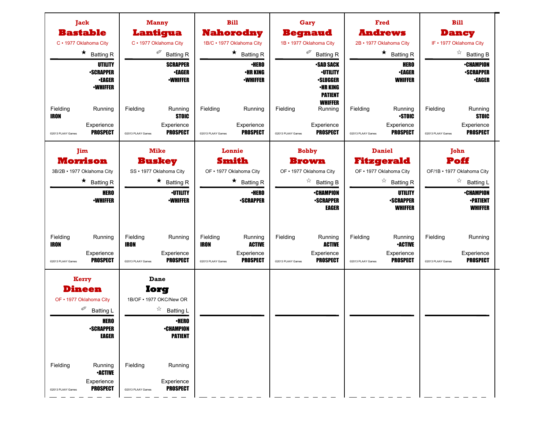| Jack<br><b>Bastable</b><br>C · 1977 Oklahoma City                                              |                                                                                                                                   |                                              | <b>Manny</b><br>Lantigua<br>C · 1977 Oklahoma City<br>Í                                                                                                            |                                              | <b>Bill</b><br><b>Nahorodny</b><br>1B/C · 1977 Oklahoma City                                               |                               | Gary<br><b>Begnaud</b><br>1B · 1977 Oklahoma City<br>∅                                                                            |                               | Fred<br><b>Andrews</b><br>2B · 1977 Oklahoma City                                                                                       |                               | <b>Bill</b><br><b>Dancy</b><br>IF • 1977 Oklahoma City                                                                       |
|------------------------------------------------------------------------------------------------|-----------------------------------------------------------------------------------------------------------------------------------|----------------------------------------------|--------------------------------------------------------------------------------------------------------------------------------------------------------------------|----------------------------------------------|------------------------------------------------------------------------------------------------------------|-------------------------------|-----------------------------------------------------------------------------------------------------------------------------------|-------------------------------|-----------------------------------------------------------------------------------------------------------------------------------------|-------------------------------|------------------------------------------------------------------------------------------------------------------------------|
|                                                                                                | $\star$ Batting R<br>UTILITY<br><b>-SCRAPPER</b><br><b>•EAGER</b><br><b>-WHIFFER</b>                                              |                                              | <b>Batting R</b><br><b>SCRAPPER</b><br><b>•EAGER</b><br><b>•WHIFFER</b>                                                                                            |                                              | $\star$ Batting R<br><b>•HERO</b><br>•HR KING<br><b>-WHIFFER</b>                                           |                               | <b>Batting R</b><br><b>-SAD SACK</b><br><b>·UTILITY</b><br><b>•SLUGGER</b><br>•HR KING<br><b>PATIENT</b>                          |                               | $\star$ Batting R<br><b>HERO</b><br><b>•EAGER</b><br><b>WHIFFER</b>                                                                     |                               | $\overrightarrow{a}$ Batting B<br><b>•CHAMPION</b><br><b>-SCRAPPER</b><br><b>•EAGER</b>                                      |
| Fielding<br><b>IRON</b><br>@2013 PLAAY Games                                                   | Running<br>Experience<br><b>PROSPECT</b>                                                                                          | Fielding<br>@2013 PLAAY Games                | Running<br><b>STOIC</b><br>Experience<br><b>PROSPECT</b>                                                                                                           | Fielding<br>@2013 PLAAY Games                | Running<br>Experience<br><b>PROSPECT</b>                                                                   | Fielding<br>@2013 PLAAY Games | <b>WHIFFER</b><br>Running<br>Experience<br><b>PROSPECT</b>                                                                        | Fielding<br>@2013 PLAAY Games | Running<br><b>STOIC</b><br>Experience<br><b>PROSPECT</b>                                                                                | Fielding<br>@2013 PLAAY Games | Running<br><b>STOIC</b><br>Experience<br><b>PROSPECT</b>                                                                     |
| Jim<br><b>Morrison</b><br>3B/2B · 1977 Oklahoma City                                           | $\star$ Batting R<br><b>HERO</b><br><b>-WHIFFER</b>                                                                               |                                              | <b>Mike</b><br><b>Buskey</b><br>SS · 1977 Oklahoma City<br>$\star$ Batting R<br><b>-UTILITY</b><br><b>-WHIFFER</b>                                                 |                                              | Lonnie<br><b>Smith</b><br>OF . 1977 Oklahoma City<br>$\star$ Batting R<br><b>·HERO</b><br><b>-SCRAPPER</b> |                               | <b>Bobby</b><br><b>Brown</b><br>OF . 1977 Oklahoma City<br>☆<br><b>Batting B</b><br><b>•CHAMPION</b><br><b>•SCRAPPER</b><br>EAGER |                               | <b>Daniel</b><br><b>Fitzgerald</b><br>OF . 1977 Oklahoma City<br>☆<br><b>Batting R</b><br>UTILITY<br><b>-SCRAPPER</b><br><b>WHIFFER</b> |                               | John<br>Poff<br>OF/1B · 1977 Oklahoma City<br>☆<br><b>Batting L</b><br><b>•CHAMPION</b><br><b>•PATIENT</b><br><b>WHIFFER</b> |
| Fielding<br><b>IRON</b><br>@2013 PLAAY Games                                                   | Running<br>Experience<br><b>PROSPECT</b>                                                                                          | Fielding<br><b>IRON</b><br>@2013 PLAAY Games | Running<br>Experience<br><b>PROSPECT</b>                                                                                                                           | Fielding<br><b>IRON</b><br>@2013 PLAAY Games | Running<br><b>ACTIVE</b><br>Experience<br><b>PROSPECT</b>                                                  | Fielding<br>@2013 PLAAY Games | Running<br><b>ACTIVE</b><br>Experience<br><b>PROSPECT</b>                                                                         | Fielding<br>@2013 PLAAY Games | Running<br><b>•ACTIVE</b><br>Experience<br><b>PROSPECT</b>                                                                              | Fielding<br>@2013 PLAAY Games | Running<br>Experience<br><b>PROSPECT</b>                                                                                     |
| <b>Kerry</b><br><b>Dineen</b><br>OF • 1977 Oklahoma City<br>Í<br>Fielding<br>@2013 PLAAY Games | <b>Batting L</b><br><b>HERO</b><br><b>-SCRAPPER</b><br><b>EAGER</b><br>Running<br><b>-ACTIVE</b><br>Experience<br><b>PROSPECT</b> | Fielding<br>@2013 PLAAY Games                | Dane<br>lorg<br>1B/OF . 1977 OKC/New OR<br>☆<br><b>Batting L</b><br><b>•HERO</b><br><b>•CHAMPION</b><br><b>PATIENT</b><br>Running<br>Experience<br><b>PROSPECT</b> |                                              |                                                                                                            |                               |                                                                                                                                   |                               |                                                                                                                                         |                               |                                                                                                                              |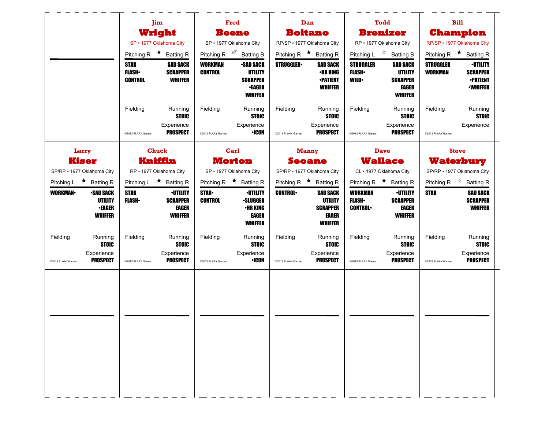|                                              | Jim                           |                                    |                                  | Fred                               | Dan                          |                                    |                                    | <b>Todd</b>                        |                                    | <b>Bill</b>                                                  |
|----------------------------------------------|-------------------------------|------------------------------------|----------------------------------|------------------------------------|------------------------------|------------------------------------|------------------------------------|------------------------------------|------------------------------------|--------------------------------------------------------------|
|                                              |                               | Wright                             |                                  | <b>Beene</b>                       | <b>Boitano</b>               |                                    |                                    | <b>Brenizer</b>                    |                                    | <b>Champion</b>                                              |
|                                              | SP · 1977 Oklahoma City       |                                    |                                  | SP · 1977 Oklahoma City            | RP/SP · 1977 Oklahoma City   |                                    |                                    | RP · 1977 Oklahoma City            |                                    | RP/SP · 1977 Oklahoma City                                   |
|                                              | Pitching R $\star$ Batting R  |                                    |                                  | Pitching R <sup>@</sup> Batting B  | Pitching R $\star$ Batting R |                                    |                                    | Pitching L $\vec{r}$ Batting B     |                                    | Pitching R $\star$ Batting R                                 |
|                                              | <b>STAR</b><br><b>FLASH</b> • | <b>SAD SACK</b><br><b>SCRAPPER</b> | <b>WORKMAN</b><br><b>CONTROL</b> | <b>•SAD SACK</b><br><b>UTILITY</b> | <b>STRUGGLER</b>             | <b>SAD SACK</b><br><b>•HR KING</b> | <b>STRUGGLER</b><br><b>FLASH</b> • | <b>SAD SACK</b><br>UTILITY         | <b>STRUGGLER</b><br><b>WORKMAN</b> | <b>-UTILITY</b><br><b>SCRAPPER</b>                           |
|                                              | <b>CONTROL</b>                | <b>WHIFFER</b>                     |                                  | <b>SCRAPPER</b><br><b>•EAGER</b>   |                              | <b>•PATIENT</b><br><b>WHIFFER</b>  | <b>WILD</b>                        | <b>SCRAPPER</b><br>EAGER           |                                    | <b>•PATIENT</b><br><b>-WHIFFER</b>                           |
|                                              |                               |                                    |                                  | <b>WHIFFER</b>                     |                              |                                    |                                    | <b>WHIFFER</b>                     |                                    |                                                              |
|                                              | Fielding                      | Running<br><b>STOIC</b>            | Fielding                         | Running<br><b>STOIC</b>            | Fielding                     | Running<br><b>STOIC</b>            | Fielding                           | Running<br><b>STOIC</b>            | Fielding                           | Running<br><b>STOIC</b>                                      |
|                                              |                               | Experience                         |                                  | Experience                         |                              | Experience                         |                                    | Experience                         |                                    | Experience                                                   |
|                                              | @2013 PLAAY Games             | <b>PROSPECT</b>                    | @2013 PLAAY Games                | <b>•ICON</b>                       | @2013 PLAAY Games            | <b>PROSPECT</b>                    | @2013 PLAAY Games                  | <b>PROSPECT</b>                    | @2013 PLAAY Games                  |                                                              |
| Larry                                        | <b>Chuck</b>                  |                                    |                                  | Carl                               | <b>Manny</b>                 |                                    |                                    | <b>Dave</b>                        |                                    | <b>Steve</b>                                                 |
| <b>Kiser</b>                                 | Kniffin                       |                                    |                                  | <b>Morton</b>                      | <b>Seoane</b>                |                                    |                                    | <b>Wallace</b>                     |                                    | <b>Waterbury</b>                                             |
| SP/RP · 1977 Oklahoma City                   | RP · 1977 Oklahoma City       |                                    |                                  | SP · 1977 Oklahoma City            | SP/RP · 1977 Oklahoma City   |                                    |                                    | CL · 1977 Oklahoma City            |                                    | SP/RP · 1977 Oklahoma City                                   |
| Pitching L $\star$ Batting R                 | Pitching L $\star$ Batting R  |                                    |                                  | Pitching R $\star$ Batting R       | Pitching R $\star$ Batting R |                                    |                                    | Pitching R $\star$ Batting R       |                                    | Pitching R $\overrightarrow{x}$ Batting R<br><b>SAD SACK</b> |
| <b>WORKMAN</b><br><b>SAD SACK</b><br>UTILITY | <b>STAR</b><br><b>FLASH</b> • | <b>•UTILITY</b><br><b>SCRAPPER</b> | <b>STAR</b><br><b>CONTROL</b>    | <b>·UTILITY</b><br><b>-SLUGGER</b> | <b>CONTROL</b>               | <b>SAD SACK</b><br><b>UTILITY</b>  | <b>WORKMAN</b><br><b>FLASH</b> •   | <b>·UTILITY</b><br><b>SCRAPPER</b> | <b>STAR</b>                        | <b>SCRAPPER</b>                                              |
| <b>•EAGER</b><br><b>WHIFFER</b>              |                               | <b>EAGER</b><br><b>WHIFFER</b>     |                                  | <b>•HR KING</b><br><b>EAGER</b>    |                              | <b>SCRAPPER</b><br>EAGER           | <b>CONTROL</b>                     | EAGER<br><b>WHIFFER</b>            |                                    | <b>WHIFFER</b>                                               |
|                                              |                               |                                    |                                  | <b>WHIFFER</b>                     |                              | <b>WHIFFER</b>                     |                                    |                                    |                                    |                                                              |
| Fielding<br>Running<br><b>STOIC</b>          | Fielding                      | Running<br><b>STOIC</b>            | Fielding                         | Running<br><b>STOIC</b>            | Fielding                     | Running<br><b>STOIC</b>            | Fielding                           | Running<br><b>STOIC</b>            | Fielding                           | Running<br><b>STOIC</b>                                      |
| Experience                                   |                               | Experience                         |                                  | Experience                         |                              | Experience                         |                                    | Experience                         |                                    | Experience                                                   |
| <b>PROSPECT</b><br>@2013 PLAAY Games         | @2013 PLAAY Games             | <b>PROSPECT</b>                    | @2013 PLAAY Games                | <b>·ICON</b>                       | @2013 PLAAY Games            | <b>PROSPECT</b>                    | @2013 PLAAY Games                  | <b>PROSPECT</b>                    | @2013 PLAAY Games                  | <b>PROSPECT</b>                                              |
|                                              |                               |                                    |                                  |                                    |                              |                                    |                                    |                                    |                                    |                                                              |
|                                              |                               |                                    |                                  |                                    |                              |                                    |                                    |                                    |                                    |                                                              |
|                                              |                               |                                    |                                  |                                    |                              |                                    |                                    |                                    |                                    |                                                              |
|                                              |                               |                                    |                                  |                                    |                              |                                    |                                    |                                    |                                    |                                                              |
|                                              |                               |                                    |                                  |                                    |                              |                                    |                                    |                                    |                                    |                                                              |
|                                              |                               |                                    |                                  |                                    |                              |                                    |                                    |                                    |                                    |                                                              |
|                                              |                               |                                    |                                  |                                    |                              |                                    |                                    |                                    |                                    |                                                              |
|                                              |                               |                                    |                                  |                                    |                              |                                    |                                    |                                    |                                    |                                                              |
|                                              |                               |                                    |                                  |                                    |                              |                                    |                                    |                                    |                                    |                                                              |
|                                              |                               |                                    |                                  |                                    |                              |                                    |                                    |                                    |                                    |                                                              |
|                                              |                               |                                    |                                  |                                    |                              |                                    |                                    |                                    |                                    |                                                              |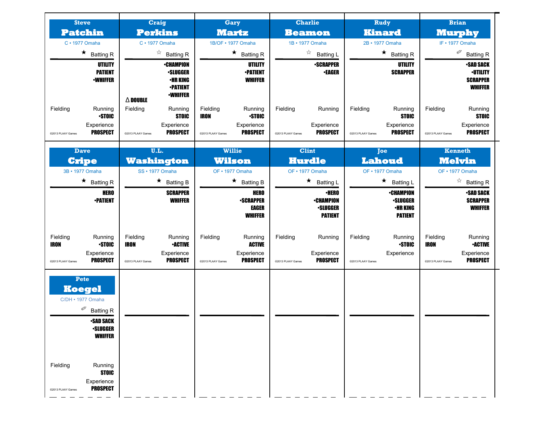| <b>Steve</b><br><b>Patchin</b>               |                                                                                                                              | <b>Craig</b><br><b>Perkins</b><br>$C \cdot 1977$ Omaha |                                                                                              | Gary<br><b>Martz</b><br>1B/OF • 1977 Omaha |                                                            | <b>Charlie</b><br><b>Beamon</b><br>1B · 1977 Omaha |                                                                       | Rudy<br><b>Kinard</b>         |                                                                          | <b>Brian</b><br><b>Murphy</b>                |                                                                          |
|----------------------------------------------|------------------------------------------------------------------------------------------------------------------------------|--------------------------------------------------------|----------------------------------------------------------------------------------------------|--------------------------------------------|------------------------------------------------------------|----------------------------------------------------|-----------------------------------------------------------------------|-------------------------------|--------------------------------------------------------------------------|----------------------------------------------|--------------------------------------------------------------------------|
|                                              |                                                                                                                              |                                                        |                                                                                              |                                            |                                                            |                                                    |                                                                       |                               |                                                                          |                                              |                                                                          |
|                                              | $\star$ Batting R                                                                                                            |                                                        |                                                                                              |                                            |                                                            |                                                    |                                                                       |                               | ☆<br><b>Batting R</b>                                                    | $\star$<br><b>Batting R</b>                  |                                                                          |
|                                              | UTILITY<br><b>PATIENT</b><br><b>•WHIFFER</b>                                                                                 | $\Delta$ Double                                        | <b>•CHAMPION</b><br><b>-SLUGGER</b><br><b>•HR KING</b><br><b>•PATIENT</b><br><b>-WHIFFER</b> |                                            | UTILITY<br><b>-PATIENT</b><br><b>WHIFFER</b>               |                                                    | <b>-SCRAPPER</b><br><b>-EAGER</b>                                     |                               | UTILITY<br><b>SCRAPPER</b>                                               |                                              | <b>-SAD SACK</b><br><b>-UTILITY</b><br><b>SCRAPPER</b><br><b>WHIFFER</b> |
| Fielding                                     | Running<br><b>STOIC</b><br>Experience<br><b>PROSPECT</b>                                                                     | Fielding                                               | Running<br><b>STOIC</b><br>Experience<br><b>PROSPECT</b>                                     | Fielding<br><b>IRON</b>                    | Running<br><b>STOIC</b><br>Experience<br><b>PROSPECT</b>   | Fielding                                           | Running<br>Experience<br><b>PROSPECT</b>                              | Fielding                      | Running<br><b>STOIC</b><br>Experience<br><b>PROSPECT</b>                 | Fielding                                     | Running<br><b>STOIC</b><br>Experience<br><b>PROSPECT</b>                 |
| @2013 PLAAY Games                            |                                                                                                                              | @2013 PLAAY Games                                      |                                                                                              | @2013 PLAAY Games                          |                                                            | @2013 PLAAY Games                                  |                                                                       | @2013 PLAAY Games             |                                                                          | @2013 PLAAY Games                            |                                                                          |
|                                              | <b>Dave</b>                                                                                                                  |                                                        | U.L.                                                                                         | <b>Willie</b>                              |                                                            | <b>Clint</b>                                       |                                                                       | Joe                           |                                                                          | <b>Kenneth</b>                               |                                                                          |
|                                              | <b>Cripe</b>                                                                                                                 | <b>Washington</b>                                      |                                                                                              | <b>Wilson</b>                              |                                                            | <b>Hurdle</b>                                      |                                                                       | <b>Lahoud</b>                 |                                                                          | <b>Melvin</b>                                |                                                                          |
|                                              | 3B · 1977 Omaha                                                                                                              | SS · 1977 Omaha                                        |                                                                                              | OF • 1977 Omaha                            |                                                            | OF · 1977 Omaha                                    |                                                                       | OF · 1977 Omaha               |                                                                          | OF • 1977 Omaha                              |                                                                          |
|                                              | $\star$ Batting R                                                                                                            |                                                        | $\star$<br><b>Batting B</b>                                                                  |                                            | ★<br><b>Batting B</b>                                      |                                                    | $\star$<br><b>Batting L</b>                                           |                               | $\star$<br><b>Batting L</b>                                              |                                              | $\stackrel{\wedge}{\bowtie}$<br><b>Batting R</b>                         |
|                                              | <b>HERO</b><br><b>-PATIENT</b>                                                                                               |                                                        | <b>SCRAPPER</b><br><b>WHIFFER</b>                                                            |                                            | <b>HERO</b><br><b>-SCRAPPER</b><br>EAGER<br><b>WHIFFER</b> |                                                    | <b>•HERO</b><br><b>•CHAMPION</b><br><b>-SLUGGER</b><br><b>PATIENT</b> |                               | <b>•CHAMPION</b><br><b>·SLUGGER</b><br><b>•HR KING</b><br><b>PATIENT</b> |                                              | <b>•SAD SACK</b><br><b>SCRAPPER</b><br><b>WHIFFER</b>                    |
| Fielding<br><b>IRON</b><br>@2013 PLAAY Games | Running<br><b>STOIC</b><br>Experience<br><b>PROSPECT</b>                                                                     | Fielding<br><b>IRON</b><br>@2013 PLAAY Games           | Running<br><b>•ACTIVE</b><br>Experience<br><b>PROSPECT</b>                                   | Fielding<br>@2013 PLAAY Games              | Running<br><b>ACTIVE</b><br>Experience<br><b>PROSPECT</b>  | Fielding<br>@2013 PLAAY Games                      | Running<br>Experience<br><b>PROSPECT</b>                              | Fielding<br>@2013 PLAAY Games | Running<br><b>STOIC</b><br>Experience                                    | Fielding<br><b>IRON</b><br>@2013 PLAAY Games | Running<br><b>•ACTIVE</b><br>Experience<br><b>PROSPECT</b>               |
|                                              | Pete<br><b>Koegel</b><br>C/DH · 1977 Omaha<br>∅<br><b>Batting R</b><br><b>•SAD SACK</b><br><b>•SLUGGER</b><br><b>WHIFFER</b> |                                                        |                                                                                              |                                            |                                                            |                                                    |                                                                       |                               |                                                                          |                                              |                                                                          |
| Fielding<br>@2013 PLAAY Games                | Running<br><b>STOIC</b><br>Experience<br><b>PROSPECT</b>                                                                     |                                                        |                                                                                              |                                            |                                                            |                                                    |                                                                       |                               |                                                                          |                                              |                                                                          |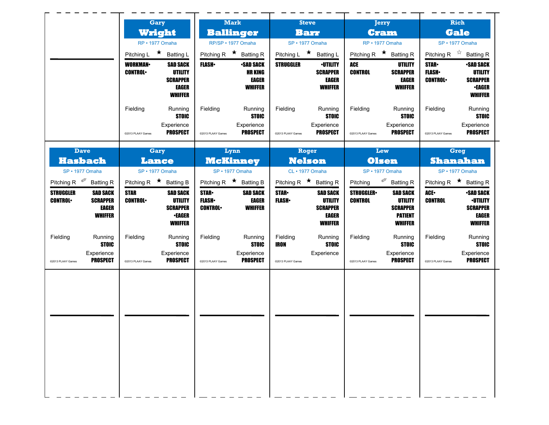|                                                                                                     | Gary<br>Wright<br>RP · 1977 Omaha |                                                                                 | <b>Mark</b><br><b>Ballinger</b><br>RP/SP · 1977 Omaha |                                                               | <b>Steve</b><br><b>Barr</b><br>SP · 1977 Omaha |                                                                                 | Jerry<br><b>Cram</b>               |                                                                                          | Rich<br><b>Gale</b>                                          |                                                                                         |
|-----------------------------------------------------------------------------------------------------|-----------------------------------|---------------------------------------------------------------------------------|-------------------------------------------------------|---------------------------------------------------------------|------------------------------------------------|---------------------------------------------------------------------------------|------------------------------------|------------------------------------------------------------------------------------------|--------------------------------------------------------------|-----------------------------------------------------------------------------------------|
|                                                                                                     |                                   |                                                                                 |                                                       |                                                               |                                                |                                                                                 |                                    | RP · 1977 Omaha                                                                          |                                                              |                                                                                         |
|                                                                                                     | Pitching L ★ Batting L            |                                                                                 | Pitching R $\star$ Batting R                          |                                                               | Pitching L ★ Batting L                         |                                                                                 |                                    | Pitching R $\star$ Batting R                                                             | SP · 1977 Omaha<br>Pitching R $\overrightarrow{x}$ Batting R |                                                                                         |
|                                                                                                     | <b>WORKMAN-</b><br><b>CONTROL</b> | <b>SAD SACK</b><br><b>UTILITY</b><br><b>SCRAPPER</b><br>EAGER<br><b>WHIFFER</b> | <b>FLASH</b>                                          | <b>•SAD SACK</b><br><b>HR KING</b><br>EAGER<br><b>WHIFFER</b> | <b>STRUGGLER</b>                               | <b>·UTILITY</b><br><b>SCRAPPER</b><br>EAGER<br><b>WHIFFER</b>                   | ACE<br><b>CONTROL</b>              | UTILITY<br><b>SCRAPPER</b><br><b>EAGER</b><br><b>WHIFFER</b>                             | <b>STAR</b><br><b>FLASH</b><br><b>CONTROL</b>                | <b>SAD SACK</b><br><b>UTILITY</b><br><b>SCRAPPER</b><br><b>•EAGER</b><br><b>WHIFFER</b> |
|                                                                                                     | Fielding<br>@2013 PLAAY Games     | Running<br><b>STOIC</b><br>Experience<br><b>PROSPECT</b>                        | Fielding<br>@2013 PLAAY Games                         | Running<br><b>STOIC</b><br>Experience<br><b>PROSPECT</b>      | Fielding<br>@2013 PLAAY Games                  | Running<br><b>STOIC</b><br>Experience<br><b>PROSPECT</b>                        | Fielding<br>@2013 PLAAY Games      | Running<br><b>STOIC</b><br>Experience<br><b>PROSPECT</b>                                 | Fielding<br>@2013 PLAAY Games                                | Running<br><b>STOIC</b><br>Experience<br><b>PROSPECT</b>                                |
| <b>Dave</b>                                                                                         | Gary                              |                                                                                 | Lynn                                                  |                                                               | Roger                                          |                                                                                 | Lew                                |                                                                                          | <b>Greg</b>                                                  |                                                                                         |
| <b>Hasbach</b>                                                                                      | Lance                             |                                                                                 | <b>McKinney</b>                                       |                                                               | <b>Nelson</b>                                  |                                                                                 | <b>Olsen</b>                       |                                                                                          | <b>Shanahan</b>                                              |                                                                                         |
| SP · 1977 Omaha                                                                                     | SP · 1977 Omaha                   |                                                                                 | SP · 1977 Omaha                                       |                                                               | CL · 1977 Omaha                                |                                                                                 |                                    | SP · 1977 Omaha                                                                          |                                                              | SP · 1977 Omaha                                                                         |
| Pitching R $\mathscr{P}$<br><b>Batting R</b>                                                        | Pitching R $\star$ Batting B      |                                                                                 | Pitching R $\star$ Batting B                          |                                                               | Pitching R $\star$ Batting R                   |                                                                                 | Pitching <sup>2</sup>              | <b>Batting R</b>                                                                         |                                                              | Pitching R $\star$ Batting R                                                            |
| <b>STRUGGLER</b><br><b>SAD SACK</b><br><b>CONTROL</b><br><b>SCRAPPER</b><br>EAGER<br><b>WHIFFER</b> | <b>STAR</b><br><b>CONTROL</b>     | <b>SAD SACK</b><br>UTILITY<br><b>SCRAPPER</b><br>∙EAGER<br><b>WHIFFER</b>       | <b>STAR</b><br><b>FLASH</b> •<br><b>CONTROL</b>       | <b>SAD SACK</b><br><b>EAGER</b><br><b>WHIFFER</b>             | <b>STAR-</b><br><b>FLASH</b> •                 | <b>SAD SACK</b><br><b>UTILITY</b><br><b>SCRAPPER</b><br>EAGER<br><b>WHIFFER</b> | <b>STRUGGLER</b><br><b>CONTROL</b> | <b>SAD SACK</b><br><b>UTILITY</b><br><b>SCRAPPER</b><br><b>PATIENT</b><br><b>WHIFFER</b> | ACE.<br><b>CONTROL</b>                                       | <b>SAD SACK</b><br><b>·UTILITY</b><br><b>SCRAPPER</b><br>EAGER<br><b>WHIFFER</b>        |
| Fielding<br>Running<br><b>STOIC</b>                                                                 | Fielding                          | Running<br><b>STOIC</b>                                                         | Fielding                                              | Running<br><b>STOIC</b>                                       | Fielding<br>IRON                               | Running<br><b>STOIC</b>                                                         | Fielding                           | Running<br><b>STOIC</b>                                                                  | Fielding                                                     | Running<br><b>STOIC</b>                                                                 |
| Experience<br><b>PROSPECT</b><br>@2013 PLAAY Games                                                  | @2013 PLAAY Games                 | Experience<br><b>PROSPECT</b>                                                   | @2013 PLAAY Games                                     | Experience<br><b>PROSPECT</b>                                 | @2013 PLAAY Games                              | Experience                                                                      | @2013 PLAAY Games                  | Experience<br><b>PROSPECT</b>                                                            | @2013 PLAAY Games                                            | Experience<br><b>PROSPECT</b>                                                           |
|                                                                                                     |                                   |                                                                                 |                                                       |                                                               |                                                |                                                                                 |                                    |                                                                                          |                                                              |                                                                                         |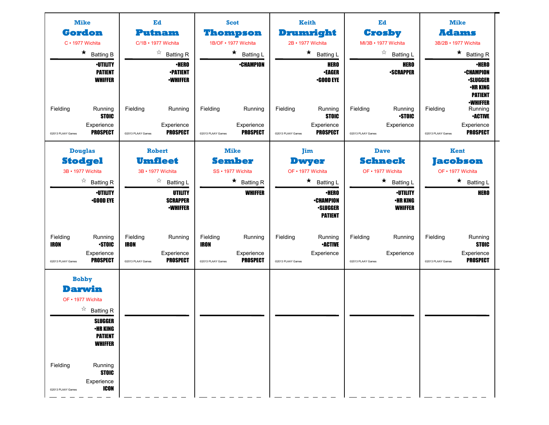| <b>Mike</b>                                                                                                                                                                                                      | Ed                                                                                       | <b>Scot</b>                                                                              | <b>Keith</b>                                                             | Ed                                                     | <b>Mike</b>                                                                                          |  |
|------------------------------------------------------------------------------------------------------------------------------------------------------------------------------------------------------------------|------------------------------------------------------------------------------------------|------------------------------------------------------------------------------------------|--------------------------------------------------------------------------|--------------------------------------------------------|------------------------------------------------------------------------------------------------------|--|
| <b>Gordon</b>                                                                                                                                                                                                    | Putnam                                                                                   | <b>Thompson</b>                                                                          | Drumright                                                                | <b>Crosby</b>                                          | <b>Adams</b>                                                                                         |  |
| C · 1977 Wichita                                                                                                                                                                                                 | C/1B • 1977 Wichita                                                                      | 1B/OF · 1977 Wichita                                                                     | 2B · 1977 Wichita                                                        | MI/3B · 1977 Wichita                                   | 3B/2B · 1977 Wichita                                                                                 |  |
| $\star$<br><b>Batting B</b>                                                                                                                                                                                      | $\stackrel{\wedge}{\bowtie}$<br><b>Batting R</b>                                         | $\star$<br><b>Batting L</b>                                                              | $\star$<br><b>Batting L</b>                                              | $\stackrel{\sim}{\sim}$<br><b>Batting L</b>            | $\star$ Batting R                                                                                    |  |
| <b>·UTILITY</b><br><b>PATIENT</b><br><b>WHIFFER</b>                                                                                                                                                              | <b>•HERO</b><br><b>•PATIENT</b><br><b>•WHIFFER</b>                                       | <b>•CHAMPION</b>                                                                         | <b>HERO</b><br><b>•EAGER</b><br><b>•GOOD EYE</b>                         | <b>HERO</b><br><b>•SCRAPPER</b>                        | ∙HERO<br><b>•CHAMPION</b><br><b>.SLUGGER</b><br><b>•HR KING</b><br><b>PATIENT</b><br><b>-WHIFFER</b> |  |
| Fielding<br>Running<br><b>STOIC</b>                                                                                                                                                                              | Fielding<br>Running                                                                      | Fielding<br>Running                                                                      | Fielding<br>Running<br><b>STOIC</b>                                      | Fielding<br>Running<br><b>STOIC</b>                    | Fielding<br>Running<br><b>•ACTIVE</b>                                                                |  |
| Experience<br><b>PROSPECT</b><br>@2013 PLAAY Games                                                                                                                                                               | Experience<br><b>PROSPECT</b><br>@2013 PLAAY Games                                       | Experience<br><b>PROSPECT</b><br>@2013 PLAAY Games                                       | Experience<br><b>PROSPECT</b><br>@2013 PLAAY Games                       | Experience<br>@2013 PLAAY Games                        | Experience<br><b>PROSPECT</b><br>@2013 PLAAY Games                                                   |  |
| <b>Douglas</b>                                                                                                                                                                                                   | <b>Robert</b>                                                                            | <b>Mike</b>                                                                              | Jim                                                                      | <b>Dave</b>                                            | Kent                                                                                                 |  |
| <b>Stodgel</b>                                                                                                                                                                                                   | <b>Umfleet</b>                                                                           | <b>Sember</b>                                                                            | <b>Dwyer</b>                                                             | <b>Schneck</b>                                         | <b>Jacobson</b>                                                                                      |  |
| 3B · 1977 Wichita                                                                                                                                                                                                | 3B · 1977 Wichita                                                                        | SS · 1977 Wichita                                                                        | OF • 1977 Wichita                                                        | OF • 1977 Wichita                                      | OF • 1977 Wichita                                                                                    |  |
| ☆<br><b>Batting R</b>                                                                                                                                                                                            | ☆<br><b>Batting L</b>                                                                    | $\star$ Batting R                                                                        | $\star$<br><b>Batting L</b>                                              | * Batting L                                            | $\star$ Batting L                                                                                    |  |
| <b>•UTILITY</b><br><b>.GOOD EYE</b>                                                                                                                                                                              | UTILITY<br><b>SCRAPPER</b><br><b>•WHIFFER</b>                                            | <b>WHIFFER</b>                                                                           | <b>•HERO</b><br><b>•CHAMPION</b><br><b>-SLUGGER</b><br><b>PATIENT</b>    | <b>·UTILITY</b><br><b>•HR KING</b><br><b>WHIFFER</b>   | <b>HERO</b>                                                                                          |  |
| Fielding<br>Running<br><b>IRON</b><br><b>STOIC</b><br>Experience<br><b>PROSPECT</b><br>@2013 PLAAY Games                                                                                                         | Fielding<br>Running<br><b>IRON</b><br>Experience<br><b>PROSPECT</b><br>@2013 PLAAY Games | Fielding<br>Running<br><b>IRON</b><br>Experience<br><b>PROSPECT</b><br>@2013 PLAAY Games | Fielding<br>Running<br><b>•ACTIVE</b><br>Experience<br>@2013 PLAAY Games | Fielding<br>Running<br>Experience<br>@2013 PLAAY Games | Fielding<br>Running<br><b>STOIC</b><br>Experience<br><b>PROSPECT</b><br>@2013 PLAAY Games            |  |
| <b>Bobby</b><br><b>Darwin</b><br>OF • 1977 Wichita<br>☆<br><b>Batting R</b><br><b>SLUGGER</b><br><b><i>•HR KING</i></b><br><b>PATIENT</b><br><b>WHIFFER</b><br>Fielding<br>Running<br><b>STOIC</b><br>Experience |                                                                                          |                                                                                          |                                                                          |                                                        |                                                                                                      |  |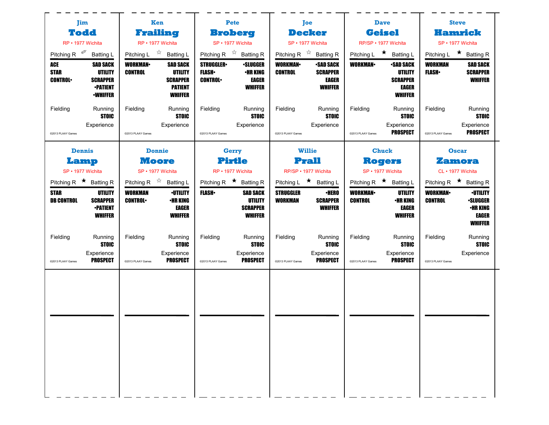| Jim                                                                                                                                | Ken                                                                                                                           | Pete                                                                                                                | Joe                                                                                                 | <b>Dave</b>                                                                                         | <b>Steve</b>                                                                                                  |  |
|------------------------------------------------------------------------------------------------------------------------------------|-------------------------------------------------------------------------------------------------------------------------------|---------------------------------------------------------------------------------------------------------------------|-----------------------------------------------------------------------------------------------------|-----------------------------------------------------------------------------------------------------|---------------------------------------------------------------------------------------------------------------|--|
| <b>Todd</b>                                                                                                                        | Frailing                                                                                                                      | <b>Broberg</b>                                                                                                      | <b>Decker</b>                                                                                       | <b>Geisel</b>                                                                                       | <b>Hamrick</b>                                                                                                |  |
| RP · 1977 Wichita                                                                                                                  | RP · 1977 Wichita                                                                                                             | SP · 1977 Wichita                                                                                                   | SP · 1977 Wichita                                                                                   | RP/SP · 1977 Wichita                                                                                | SP · 1977 Wichita                                                                                             |  |
| Pitching R $\mathscr{P}$<br><b>Batting L</b>                                                                                       | Pitching L $\vec{r}$ Batting L                                                                                                | Pitching R $\overrightarrow{x}$ Batting R                                                                           | Pitching R $\overrightarrow{x}$ Batting R                                                           | Pitching L $\star$ Batting L                                                                        | Pitching L $\star$ Batting R                                                                                  |  |
| ACE<br><b>SAD SACK</b><br><b>STAR</b><br><b>UTILITY</b><br><b>CONTROL</b><br><b>SCRAPPER</b><br><b>•PATIENT</b><br><b>•WHIFFER</b> | <b>WORKMAN-</b><br><b>SAD SACK</b><br><b>CONTROL</b><br><b>UTILITY</b><br><b>SCRAPPER</b><br><b>PATIENT</b><br><b>WHIFFER</b> | <b>STRUGGLER</b><br><b>•SLUGGER</b><br><b>FLASH</b><br>•HR KING<br><b>EAGER</b><br><b>CONTROL</b><br><b>WHIFFER</b> | <b>WORKMAN-</b><br><b>•SAD SACK</b><br><b>CONTROL</b><br><b>SCRAPPER</b><br>EAGER<br><b>WHIFFER</b> | <b>WORKMAN-</b><br><b>-SAD SACK</b><br><b>UTILITY</b><br><b>SCRAPPER</b><br>EAGER<br><b>WHIFFER</b> | <b>SAD SACK</b><br>WORKMAN<br><b>FLASH</b><br><b>SCRAPPER</b><br><b>WHIFFER</b>                               |  |
| Fielding<br>Running<br>STOIC                                                                                                       | Fielding<br>Running<br><b>STOIC</b>                                                                                           | Fielding<br>Running<br><b>STOIC</b>                                                                                 | Fielding<br>Running<br><b>STOIC</b>                                                                 | Fielding<br>Running<br><b>STOIC</b>                                                                 | Fielding<br>Running<br><b>STOIC</b>                                                                           |  |
| Experience<br>@2013 PLAAY Games                                                                                                    | Experience<br>@2013 PLAAY Games                                                                                               | Experience<br>@2013 PLAAY Games                                                                                     | Experience<br>@2013 PLAAY Games                                                                     | Experience<br><b>PROSPECT</b><br>@2013 PLAAY Games                                                  | Experience<br><b>PROSPECT</b><br>@2013 PLAAY Games                                                            |  |
| <b>Dennis</b>                                                                                                                      | <b>Donnie</b>                                                                                                                 | Gerry                                                                                                               | <b>Willie</b>                                                                                       | <b>Chuck</b>                                                                                        | <b>Oscar</b>                                                                                                  |  |
| Lamp                                                                                                                               | <b>Moore</b>                                                                                                                  | <b>Pirtle</b>                                                                                                       | Prall                                                                                               | <b>Rogers</b>                                                                                       | Zamora                                                                                                        |  |
| SP · 1977 Wichita                                                                                                                  | SP · 1977 Wichita                                                                                                             | RP · 1977 Wichita                                                                                                   | RP/SP · 1977 Wichita                                                                                | SP · 1977 Wichita                                                                                   | CL · 1977 Wichita                                                                                             |  |
| Pitching R $\star$ Batting R                                                                                                       | Pitching R $\overrightarrow{x}$ Batting L                                                                                     | Pitching R $\star$ Batting R                                                                                        | Pitching L ★ Batting L                                                                              | Pitching R $\star$<br><b>Batting L</b>                                                              | Pitching R $\star$ Batting R                                                                                  |  |
| <b>STAR</b><br><b>UTILITY</b><br><b>DB CONTROL</b><br><b>SCRAPPER</b><br><b>•PATIENT</b><br><b>WHIFFER</b>                         | <b>WORKMAN</b><br><b>-UTILITY</b><br><b>•HR KING</b><br><b>CONTROL</b><br>EAGER<br><b>WHIFFER</b>                             | <b>FLASH</b> •<br><b>SAD SACK</b><br>UTILITY<br><b>SCRAPPER</b><br><b>WHIFFER</b>                                   | <b>•HERO</b><br><b>STRUGGLER</b><br><b>WORKMAN</b><br><b>SCRAPPER</b><br><b>WHIFFER</b>             | <b>WORKMAN</b><br><b>UTILITY</b><br><b>•HR KING</b><br><b>CONTROL</b><br>EAGER<br><b>WHIFFER</b>    | <b>WORKMAN</b><br><b>·UTILITY</b><br><b>CONTROL</b><br><b>•SLUGGER</b><br>•HR KING<br>EAGER<br><b>WHIFFER</b> |  |
| Fielding<br>Running<br><b>STOIC</b>                                                                                                | Fielding<br>Running<br><b>STOIC</b>                                                                                           | Fielding<br>Running<br><b>STOIC</b>                                                                                 | Fielding<br>Running<br><b>STOIC</b>                                                                 | Fielding<br>Running<br><b>STOIC</b>                                                                 | Fielding<br>Running<br><b>STOIC</b>                                                                           |  |
| Experience<br><b>PROSPECT</b><br>@2013 PLAAY Games                                                                                 | Experience<br><b>PROSPECT</b><br>@2013 PLAAY Games                                                                            | Experience<br><b>PROSPECT</b><br>@2013 PLAAY Games                                                                  | Experience<br><b>PROSPECT</b><br>@2013 PLAAY Games                                                  | Experience<br><b>PROSPECT</b><br>@2013 PLAAY Games                                                  | Experience<br>@2013 PLAAY Games                                                                               |  |
|                                                                                                                                    |                                                                                                                               |                                                                                                                     |                                                                                                     |                                                                                                     |                                                                                                               |  |